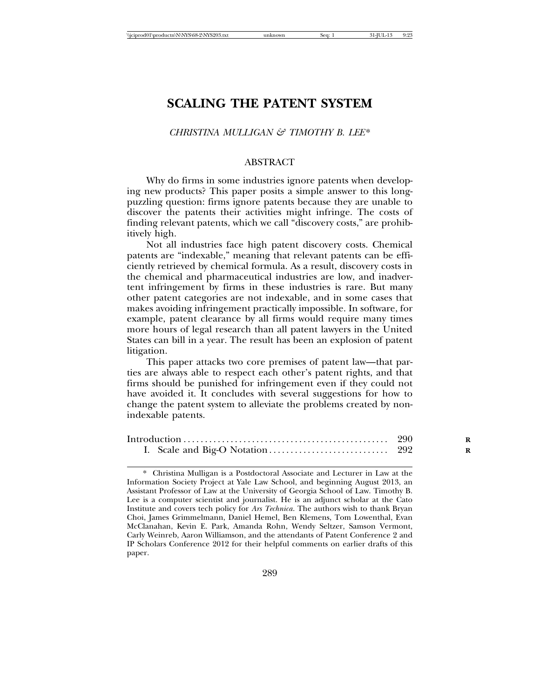## *CHRISTINA MULLIGAN & TIMOTHY B. LEE*\*

#### ABSTRACT

Why do firms in some industries ignore patents when developing new products? This paper posits a simple answer to this longpuzzling question: firms ignore patents because they are unable to discover the patents their activities might infringe. The costs of finding relevant patents, which we call "discovery costs," are prohibitively high.

Not all industries face high patent discovery costs. Chemical patents are "indexable," meaning that relevant patents can be efficiently retrieved by chemical formula. As a result, discovery costs in the chemical and pharmaceutical industries are low, and inadvertent infringement by firms in these industries is rare. But many other patent categories are not indexable, and in some cases that makes avoiding infringement practically impossible. In software, for example, patent clearance by all firms would require many times more hours of legal research than all patent lawyers in the United States can bill in a year. The result has been an explosion of patent litigation.

This paper attacks two core premises of patent law—that parties are always able to respect each other's patent rights, and that firms should be punished for infringement even if they could not have avoided it. It concludes with several suggestions for how to change the patent system to alleviate the problems created by nonindexable patents.

<sup>\*</sup> Christina Mulligan is a Postdoctoral Associate and Lecturer in Law at the Information Society Project at Yale Law School, and beginning August 2013, an Assistant Professor of Law at the University of Georgia School of Law. Timothy B. Lee is a computer scientist and journalist. He is an adjunct scholar at the Cato Institute and covers tech policy for *Ars Technica*. The authors wish to thank Bryan Choi, James Grimmelmann, Daniel Hemel, Ben Klemens, Tom Lowenthal, Evan McClanahan, Kevin E. Park, Amanda Rohn, Wendy Seltzer, Samson Vermont, Carly Weinreb, Aaron Williamson, and the attendants of Patent Conference 2 and IP Scholars Conference 2012 for their helpful comments on earlier drafts of this paper.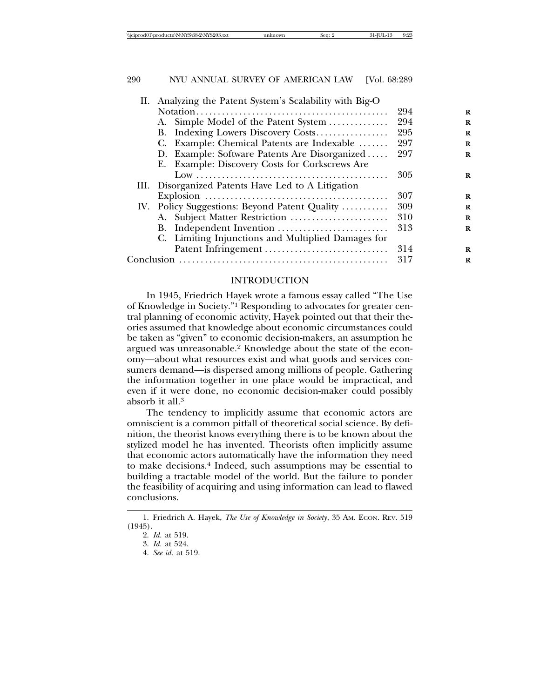| II. Analyzing the Patent System's Scalability with Big-O |     |          |
|----------------------------------------------------------|-----|----------|
|                                                          | 294 | R        |
| A. Simple Model of the Patent System                     | 294 | R        |
| B. Indexing Lowers Discovery Costs                       | 295 | R        |
| C. Example: Chemical Patents are Indexable               | 297 | R        |
| D. Example: Software Patents Are Disorganized            | 297 | R        |
| E. Example: Discovery Costs for Corkscrews Are           |     |          |
|                                                          | 305 | R        |
| III. Disorganized Patents Have Led to A Litigation       |     |          |
|                                                          | 307 | $\bf{R}$ |
| IV. Policy Suggestions: Beyond Patent Quality            | 309 | R        |
| A. Subject Matter Restriction                            | 310 | R        |
| B. Independent Invention                                 | 313 | R        |
| C. Limiting Injunctions and Multiplied Damages for       |     |          |
|                                                          | 314 | R        |
|                                                          | 317 | R        |
|                                                          |     |          |

# INTRODUCTION

In 1945, Friedrich Hayek wrote a famous essay called "The Use of Knowledge in Society."1 Responding to advocates for greater central planning of economic activity, Hayek pointed out that their theories assumed that knowledge about economic circumstances could be taken as "given" to economic decision-makers, an assumption he argued was unreasonable.2 Knowledge about the state of the economy—about what resources exist and what goods and services consumers demand—is dispersed among millions of people. Gathering the information together in one place would be impractical, and even if it were done, no economic decision-maker could possibly absorb it all.3

The tendency to implicitly assume that economic actors are omniscient is a common pitfall of theoretical social science. By definition, the theorist knows everything there is to be known about the stylized model he has invented. Theorists often implicitly assume that economic actors automatically have the information they need to make decisions.4 Indeed, such assumptions may be essential to building a tractable model of the world. But the failure to ponder the feasibility of acquiring and using information can lead to flawed conclusions.

<sup>1.</sup> Friedrich A. Hayek, *The Use of Knowledge in Society*, 35 AM. ECON. REV. 519 (1945).

<sup>2.</sup> *Id.* at 519.

<sup>3.</sup> *Id.* at 524.

<sup>4.</sup> *See id.* at 519.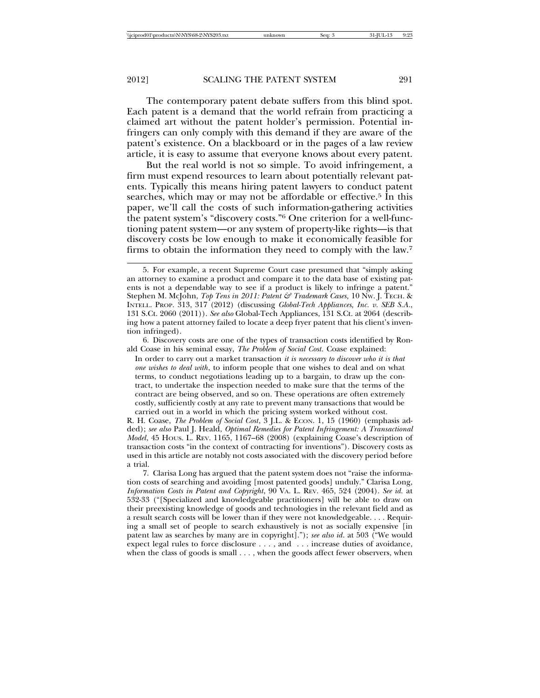The contemporary patent debate suffers from this blind spot. Each patent is a demand that the world refrain from practicing a claimed art without the patent holder's permission. Potential infringers can only comply with this demand if they are aware of the patent's existence. On a blackboard or in the pages of a law review article, it is easy to assume that everyone knows about every patent.

But the real world is not so simple. To avoid infringement, a firm must expend resources to learn about potentially relevant patents. Typically this means hiring patent lawyers to conduct patent searches, which may or may not be affordable or effective.<sup>5</sup> In this paper, we'll call the costs of such information-gathering activities the patent system's "discovery costs."6 One criterion for a well-functioning patent system—or any system of property-like rights—is that discovery costs be low enough to make it economically feasible for firms to obtain the information they need to comply with the law.7

6. Discovery costs are one of the types of transaction costs identified by Ronald Coase in his seminal essay, *The Problem of Social Cost.* Coase explained:

In order to carry out a market transaction *it is necessary to discover who it is that one wishes to deal with*, to inform people that one wishes to deal and on what terms, to conduct negotiations leading up to a bargain, to draw up the contract, to undertake the inspection needed to make sure that the terms of the contract are being observed, and so on. These operations are often extremely costly, sufficiently costly at any rate to prevent many transactions that would be carried out in a world in which the pricing system worked without cost.

R. H. Coase, *The Problem of Social Cost*, 3 J.L. & ECON. 1, 15 (1960) (emphasis added); *see also* Paul J. Heald, *Optimal Remedies for Patent Infringement: A Transactional Model*, 45 HOUS. L. REV. 1165, 1167–68 (2008) (explaining Coase's description of transaction costs "in the context of contracting for inventions"). Discovery costs as used in this article are notably not costs associated with the discovery period before a trial.

7. Clarisa Long has argued that the patent system does not "raise the information costs of searching and avoiding [most patented goods] unduly." Clarisa Long, *Information Costs in Patent and Copyright*, 90 VA. L. REV. 465, 524 (2004). *See id.* at 532-33 ("[Specialized and knowledgeable practitioners] will be able to draw on their preexisting knowledge of goods and technologies in the relevant field and as a result search costs will be lower than if they were not knowledgeable. . . . Requiring a small set of people to search exhaustively is not as socially expensive [in patent law as searches by many are in copyright]."); *see also id*. at 503 ("We would expect legal rules to force disclosure . . . , and . . . increase duties of avoidance, when the class of goods is small . . . , when the goods affect fewer observers, when

<sup>5.</sup> For example, a recent Supreme Court case presumed that "simply asking an attorney to examine a product and compare it to the data base of existing patents is not a dependable way to see if a product is likely to infringe a patent." Stephen M. McJohn, *Top Tens in 2011: Patent & Trademark Cases,* 10 NW. J. TECH. & INTELL. PROP. 313, 317 (2012) (discussing *Global-Tech Appliances, Inc. v. SEB S.A.*, 131 S.Ct. 2060 (2011)). *See also* Global-Tech Appliances, 131 S.Ct. at 2064 (describing how a patent attorney failed to locate a deep fryer patent that his client's invention infringed).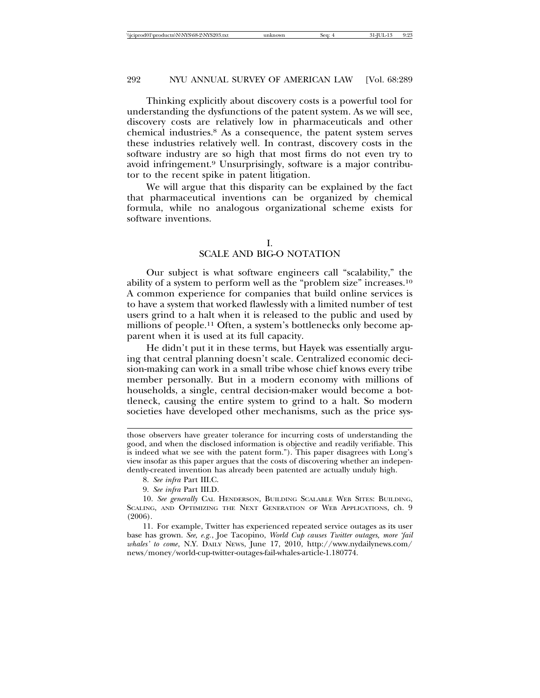Thinking explicitly about discovery costs is a powerful tool for understanding the dysfunctions of the patent system. As we will see, discovery costs are relatively low in pharmaceuticals and other chemical industries.8 As a consequence, the patent system serves these industries relatively well. In contrast, discovery costs in the software industry are so high that most firms do not even try to avoid infringement.9 Unsurprisingly, software is a major contributor to the recent spike in patent litigation.

We will argue that this disparity can be explained by the fact that pharmaceutical inventions can be organized by chemical formula, while no analogous organizational scheme exists for software inventions.

I.

# SCALE AND BIG-O NOTATION

Our subject is what software engineers call "scalability," the ability of a system to perform well as the "problem size" increases.10 A common experience for companies that build online services is to have a system that worked flawlessly with a limited number of test users grind to a halt when it is released to the public and used by millions of people.<sup>11</sup> Often, a system's bottlenecks only become apparent when it is used at its full capacity.

He didn't put it in these terms, but Hayek was essentially arguing that central planning doesn't scale. Centralized economic decision-making can work in a small tribe whose chief knows every tribe member personally. But in a modern economy with millions of households, a single, central decision-maker would become a bottleneck, causing the entire system to grind to a halt. So modern societies have developed other mechanisms, such as the price sys-

11. For example, Twitter has experienced repeated service outages as its user base has grown. *See, e.g.*, Joe Tacopino, *World Cup causes Twitter outages, more 'fail whales' to come*, N.Y. DAILY NEWS, June 17, 2010, http://www.nydailynews.com/ news/money/world-cup-twitter-outages-fail-whales-article-1.180774.

those observers have greater tolerance for incurring costs of understanding the good, and when the disclosed information is objective and readily verifiable. This is indeed what we see with the patent form."). This paper disagrees with Long's view insofar as this paper argues that the costs of discovering whether an independently-created invention has already been patented are actually unduly high.

<sup>8.</sup> *See infra* Part III.C.

<sup>9.</sup> *See infra* Part III.D.

<sup>10.</sup> *See generally* CAL HENDERSON, BUILDING SCALABLE WEB SITES: BUILDING, SCALING, AND OPTIMIZING THE NEXT GENERATION OF WEB APPLICATIONS, ch. 9 (2006).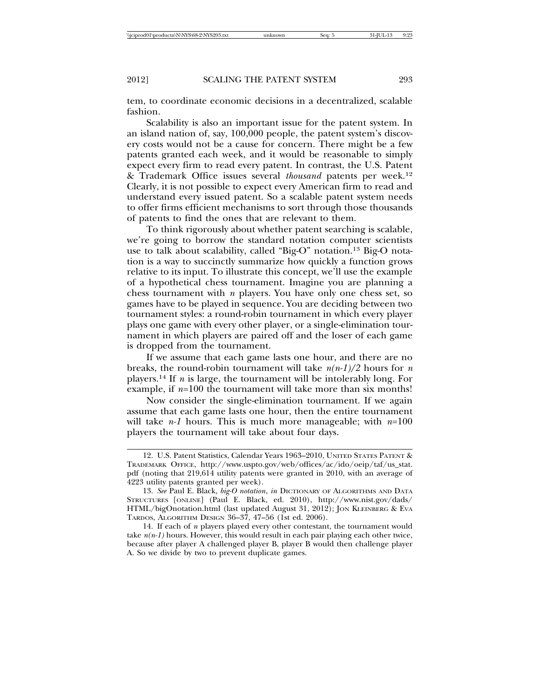tem, to coordinate economic decisions in a decentralized, scalable fashion.

Scalability is also an important issue for the patent system. In an island nation of, say, 100,000 people, the patent system's discovery costs would not be a cause for concern. There might be a few patents granted each week, and it would be reasonable to simply expect every firm to read every patent. In contrast, the U.S. Patent & Trademark Office issues several *thousand* patents per week.12 Clearly, it is not possible to expect every American firm to read and understand every issued patent. So a scalable patent system needs to offer firms efficient mechanisms to sort through those thousands of patents to find the ones that are relevant to them.

To think rigorously about whether patent searching is scalable, we're going to borrow the standard notation computer scientists use to talk about scalability, called "Big-O" notation.13 Big-O notation is a way to succinctly summarize how quickly a function grows relative to its input. To illustrate this concept, we'll use the example of a hypothetical chess tournament. Imagine you are planning a chess tournament with *n* players. You have only one chess set, so games have to be played in sequence. You are deciding between two tournament styles: a round-robin tournament in which every player plays one game with every other player, or a single-elimination tournament in which players are paired off and the loser of each game is dropped from the tournament.

If we assume that each game lasts one hour, and there are no breaks, the round-robin tournament will take  $n(n-1)/2$  hours for *n* players.14 If *n* is large, the tournament will be intolerably long. For example, if *n*=100 the tournament will take more than six months!

Now consider the single-elimination tournament. If we again assume that each game lasts one hour, then the entire tournament will take *n-1* hours. This is much more manageable; with *n*=100 players the tournament will take about four days.

<sup>12.</sup> U.S. Patent Statistics, Calendar Years 1963–2010, UNITED STATES PATENT & TRADEMARK OFFICE, http://www.uspto.gov/web/offices/ac/ido/oeip/taf/us\_stat. pdf (noting that 219,614 utility patents were granted in 2010, with an average of 4223 utility patents granted per week).

<sup>13.</sup> *See* Paul E. Black, *big-O notation*, *in* DICTIONARY OF ALGORITHMS AND DATA STRUCTURES [ONLINE] (Paul E. Black, ed. 2010), http://www.nist.gov/dads/ HTML/bigOnotation.html (last updated August 31, 2012); JON KLEINBERG & EVA TARDOS, ALGORITHM DESIGN 36–37, 47–56 (1st ed. 2006).

<sup>14.</sup> If each of *n* players played every other contestant, the tournament would take  $n(n-1)$  hours. However, this would result in each pair playing each other twice, because after player A challenged player B, player B would then challenge player A. So we divide by two to prevent duplicate games.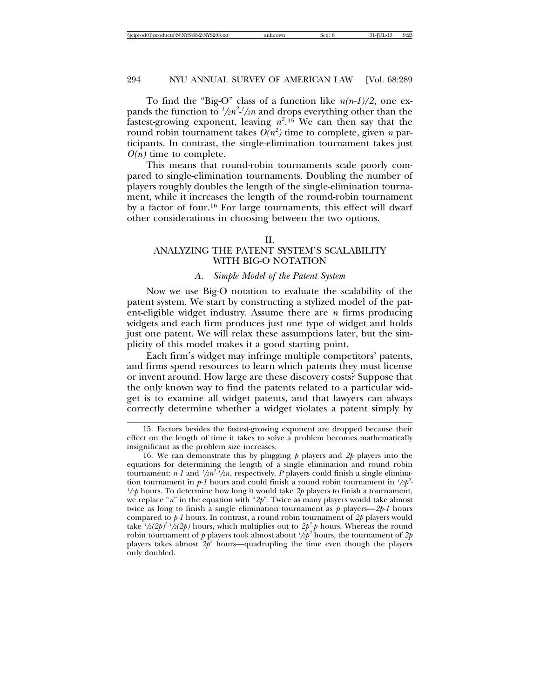To find the "Big-O" class of a function like *n(n-1)/2*, one expands the function to  $\frac{l}{2}n^2$ - $\frac{l}{2}n$  and drops everything other than the fastest-growing exponent, leaving  $n^2$ .<sup>15</sup> We can then say that the round robin tournament takes  $O(n^2)$  time to complete, given  $n$  participants. In contrast, the single-elimination tournament takes just  $O(n)$  time to complete.

This means that round-robin tournaments scale poorly compared to single-elimination tournaments. Doubling the number of players roughly doubles the length of the single-elimination tournament, while it increases the length of the round-robin tournament by a factor of four.16 For large tournaments, this effect will dwarf other considerations in choosing between the two options.

#### II.

# ANALYZING THE PATENT SYSTEM'S SCALABILITY WITH BIG-O NOTATION

# *A. Simple Model of the Patent System*

Now we use Big-O notation to evaluate the scalability of the patent system. We start by constructing a stylized model of the patent-eligible widget industry. Assume there are *n* firms producing widgets and each firm produces just one type of widget and holds just one patent. We will relax these assumptions later, but the simplicity of this model makes it a good starting point.

Each firm's widget may infringe multiple competitors' patents, and firms spend resources to learn which patents they must license or invent around. How large are these discovery costs? Suppose that the only known way to find the patents related to a particular widget is to examine all widget patents, and that lawyers can always correctly determine whether a widget violates a patent simply by

<sup>15.</sup> Factors besides the fastest-growing exponent are dropped because their effect on the length of time it takes to solve a problem becomes mathematically insignificant as the problem size increases.

<sup>16.</sup> We can demonstrate this by plugging *p* players and *2p* players into the equations for determining the length of a single elimination and round robin tournament: *n-1* and  $\frac{1}{2}n^2 - \frac{1}{2}n$ , respectively. *P* players could finish a single elimination tournament in  $p$ -1 hours and could finish a round robin tournament in  $\frac{1}{2}p^2$ -*1 /2p* hours. To determine how long it would take *2p* players to finish a tournament, we replace "*n*" in the equation with "*2p*". Twice as many players would take almost twice as long to finish a single elimination tournament as *p* players—*2p-1* hours compared to *p-1* hours. In contrast, a round robin tournament of *2p* players would take  $\frac{1}{2}(2p)^{2} \cdot \frac{1}{2}(2p)$  hours, which multiplies out to  $2p^{2} \cdot p$  hours. Whereas the round robin tournament of  $p$  players took almost about  $\frac{1}{2}p^2$  hours, the tournament of  $2p$ players takes almost  $2p^2$  hours—quadrupling the time even though the players only doubled.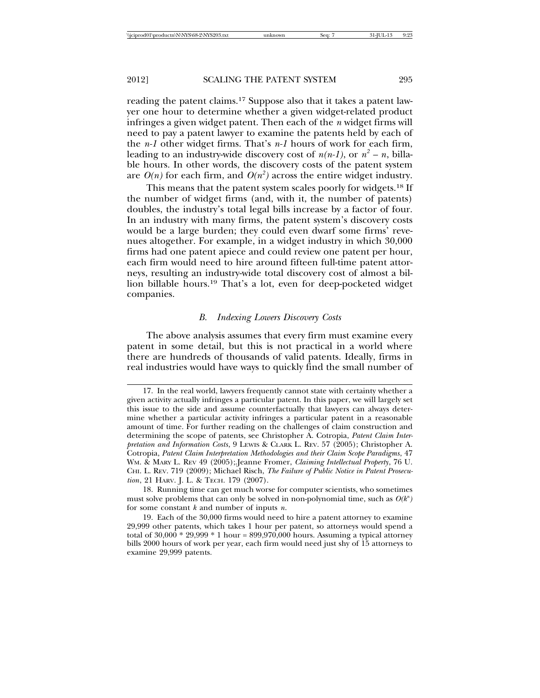reading the patent claims.17 Suppose also that it takes a patent lawyer one hour to determine whether a given widget-related product infringes a given widget patent. Then each of the *n* widget firms will need to pay a patent lawyer to examine the patents held by each of the *n-1* other widget firms. That's *n-1* hours of work for each firm, leading to an industry-wide discovery cost of  $n(n-1)$ , or  $n^2 - n$ , billable hours. In other words, the discovery costs of the patent system are  $O(n)$  for each firm, and  $O(n^2)$  across the entire widget industry.

This means that the patent system scales poorly for widgets.18 If the number of widget firms (and, with it, the number of patents) doubles, the industry's total legal bills increase by a factor of four. In an industry with many firms, the patent system's discovery costs would be a large burden; they could even dwarf some firms' revenues altogether. For example, in a widget industry in which 30,000 firms had one patent apiece and could review one patent per hour, each firm would need to hire around fifteen full-time patent attorneys, resulting an industry-wide total discovery cost of almost a billion billable hours.19 That's a lot, even for deep-pocketed widget companies.

#### *B. Indexing Lowers Discovery Costs*

The above analysis assumes that every firm must examine every patent in some detail, but this is not practical in a world where there are hundreds of thousands of valid patents. Ideally, firms in real industries would have ways to quickly find the small number of

<sup>17.</sup> In the real world, lawyers frequently cannot state with certainty whether a given activity actually infringes a particular patent. In this paper, we will largely set this issue to the side and assume counterfactually that lawyers can always determine whether a particular activity infringes a particular patent in a reasonable amount of time. For further reading on the challenges of claim construction and determining the scope of patents, see Christopher A. Cotropia, *Patent Claim Interpretation and Information Costs*, 9 LEWIS & CLARK L. REV. 57 (2005); Christopher A. Cotropia, *Patent Claim Interpretation Methodologies and their Claim Scope Paradigms*, 47 WM. & MARY L. REV 49 (2005);.Jeanne Fromer, *Claiming Intellectual Property*, 76 U. CHI. L. REV. 719 (2009); Michael Risch, *The Failure of Public Notice in Patent Prosecution*, 21 HARV. J. L. & TECH. 179 (2007).

<sup>18.</sup> Running time can get much worse for computer scientists, who sometimes must solve problems that can only be solved in non-polynomial time, such as  $O(k^n)$ for some constant *k* and number of inputs *n*.

<sup>19.</sup> Each of the 30,000 firms would need to hire a patent attorney to examine 29,999 other patents, which takes 1 hour per patent, so attorneys would spend a total of  $30,000 * 29,999 * 1$  hour =  $899,970,000$  hours. Assuming a typical attorney bills 2000 hours of work per year, each firm would need just shy of 15 attorneys to examine 29,999 patents.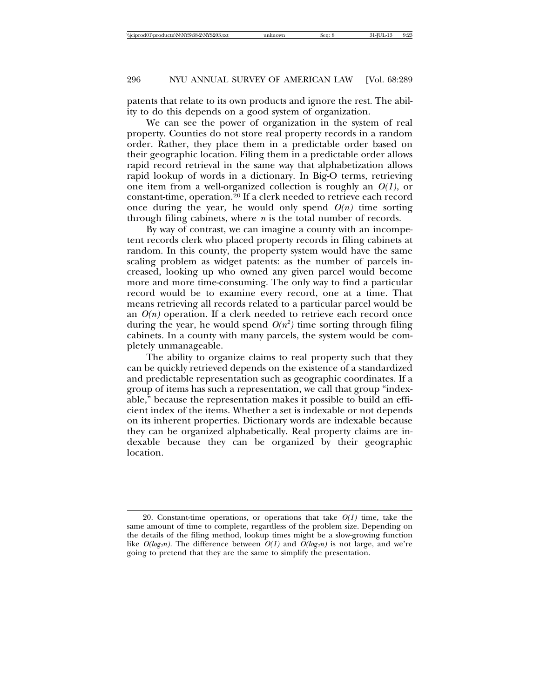patents that relate to its own products and ignore the rest. The ability to do this depends on a good system of organization.

We can see the power of organization in the system of real property. Counties do not store real property records in a random order. Rather, they place them in a predictable order based on their geographic location. Filing them in a predictable order allows rapid record retrieval in the same way that alphabetization allows rapid lookup of words in a dictionary. In Big-O terms, retrieving one item from a well-organized collection is roughly an *O(1)*, or constant-time, operation.20 If a clerk needed to retrieve each record once during the year, he would only spend  $O(n)$  time sorting through filing cabinets, where *n* is the total number of records.

By way of contrast, we can imagine a county with an incompetent records clerk who placed property records in filing cabinets at random. In this county, the property system would have the same scaling problem as widget patents: as the number of parcels increased, looking up who owned any given parcel would become more and more time-consuming. The only way to find a particular record would be to examine every record, one at a time. That means retrieving all records related to a particular parcel would be an *O(n)* operation. If a clerk needed to retrieve each record once during the year, he would spend  $O(n^2)$  time sorting through filing cabinets. In a county with many parcels, the system would be completely unmanageable.

The ability to organize claims to real property such that they can be quickly retrieved depends on the existence of a standardized and predictable representation such as geographic coordinates. If a group of items has such a representation, we call that group "indexable," because the representation makes it possible to build an efficient index of the items. Whether a set is indexable or not depends on its inherent properties. Dictionary words are indexable because they can be organized alphabetically. Real property claims are indexable because they can be organized by their geographic location.

<sup>20.</sup> Constant-time operations, or operations that take  $O(1)$  time, take the same amount of time to complete, regardless of the problem size. Depending on the details of the filing method, lookup times might be a slow-growing function like  $O(log_2n)$ . The difference between  $O(1)$  and  $O(log_2n)$  is not large, and we're going to pretend that they are the same to simplify the presentation.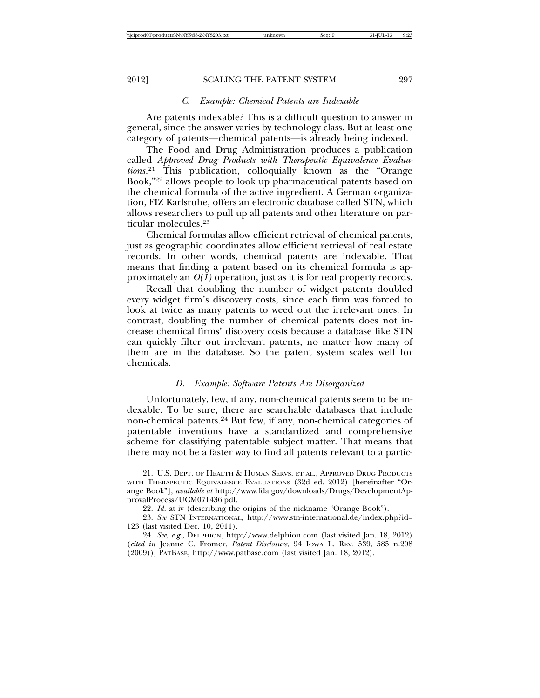#### *C. Example: Chemical Patents are Indexable*

Are patents indexable? This is a difficult question to answer in general, since the answer varies by technology class. But at least one category of patents—chemical patents—is already being indexed.

The Food and Drug Administration produces a publication called *Approved Drug Products with Therapeutic Equivalence Evaluations*. 21 This publication, colloquially known as the "Orange Book,"22 allows people to look up pharmaceutical patents based on the chemical formula of the active ingredient. A German organization, FIZ Karlsruhe, offers an electronic database called STN, which allows researchers to pull up all patents and other literature on particular molecules.23

Chemical formulas allow efficient retrieval of chemical patents, just as geographic coordinates allow efficient retrieval of real estate records. In other words, chemical patents are indexable. That means that finding a patent based on its chemical formula is approximately an *O(1)* operation, just as it is for real property records.

Recall that doubling the number of widget patents doubled every widget firm's discovery costs, since each firm was forced to look at twice as many patents to weed out the irrelevant ones. In contrast, doubling the number of chemical patents does not increase chemical firms' discovery costs because a database like STN can quickly filter out irrelevant patents, no matter how many of them are in the database. So the patent system scales well for chemicals.

# *D. Example: Software Patents Are Disorganized*

Unfortunately, few, if any, non-chemical patents seem to be indexable. To be sure, there are searchable databases that include non-chemical patents.24 But few, if any, non-chemical categories of patentable inventions have a standardized and comprehensive scheme for classifying patentable subject matter. That means that there may not be a faster way to find all patents relevant to a partic-

<sup>21.</sup> U.S. DEPT. OF HEALTH & HUMAN SERVS. ET AL., APPROVED DRUG PRODUCTS WITH THERAPEUTIC EQUIVALENCE EVALUATIONS (32d ed. 2012) [hereinafter "Orange Book"], *available at* http://www.fda.gov/downloads/Drugs/DevelopmentApprovalProcess/UCM071436.pdf.

<sup>22.</sup> *Id*. at iv (describing the origins of the nickname "Orange Book").

<sup>23.</sup> *See* STN INTERNATIONAL, http://www.stn-international.de/index.php?id= 123 (last visited Dec. 10, 2011).

<sup>24.</sup> *See, e.g.*, DELPHION, http://www.delphion.com (last visited Jan. 18, 2012) (*cited in* Jeanne C. Fromer, *Patent Disclosure*, 94 IOWA L. REV. 539, 585 n.208 (2009)); PATBASE, http://www.patbase.com (last visited Jan. 18, 2012).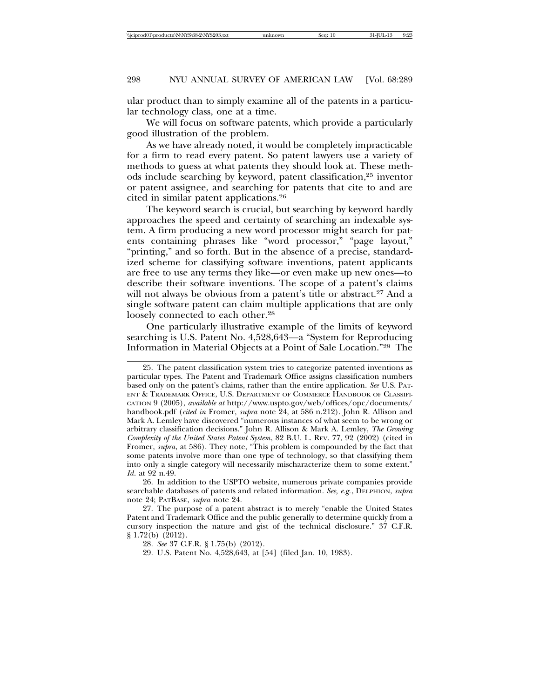ular product than to simply examine all of the patents in a particular technology class, one at a time.

We will focus on software patents, which provide a particularly good illustration of the problem.

As we have already noted, it would be completely impracticable for a firm to read every patent. So patent lawyers use a variety of methods to guess at what patents they should look at. These methods include searching by keyword, patent classification,25 inventor or patent assignee, and searching for patents that cite to and are cited in similar patent applications.26

The keyword search is crucial, but searching by keyword hardly approaches the speed and certainty of searching an indexable system. A firm producing a new word processor might search for patents containing phrases like "word processor," "page layout," "printing," and so forth. But in the absence of a precise, standardized scheme for classifying software inventions, patent applicants are free to use any terms they like—or even make up new ones—to describe their software inventions. The scope of a patent's claims will not always be obvious from a patent's title or abstract.<sup>27</sup> And a single software patent can claim multiple applications that are only loosely connected to each other.<sup>28</sup>

One particularly illustrative example of the limits of keyword searching is U.S. Patent No. 4,528,643—a "System for Reproducing Information in Material Objects at a Point of Sale Location."29 The

26. In addition to the USPTO website, numerous private companies provide searchable databases of patents and related information. *See, e.g.*, DELPHION, *supra* note 24; PATBASE*, supra* note 24.

27. The purpose of a patent abstract is to merely "enable the United States Patent and Trademark Office and the public generally to determine quickly from a cursory inspection the nature and gist of the technical disclosure." 37 C.F.R. § 1.72(b) (2012).

<sup>25.</sup> The patent classification system tries to categorize patented inventions as particular types. The Patent and Trademark Office assigns classification numbers based only on the patent's claims, rather than the entire application. *See* U.S. PAT-ENT & TRADEMARK OFFICE, U.S. DEPARTMENT OF COMMERCE HANDBOOK OF CLASSIFI-CATION 9 (2005), *available at* http://www.uspto.gov/web/offices/opc/documents/ handbook.pdf (*cited in* Fromer, *supra* note 24, at 586 n.212). John R. Allison and Mark A. Lemley have discovered "numerous instances of what seem to be wrong or arbitrary classification decisions." John R. Allison & Mark A. Lemley, *The Growing Complexity of the United States Patent System*, 82 B.U. L. REV. 77, 92 (2002) (cited in Fromer, *supra*, at 586). They note, "This problem is compounded by the fact that some patents involve more than one type of technology, so that classifying them into only a single category will necessarily mischaracterize them to some extent." *Id*. at 92 n.49.

<sup>28.</sup> *See* 37 C.F.R. § 1.75(b) (2012).

<sup>29.</sup> U.S. Patent No. 4,528,643, at [54] (filed Jan. 10, 1983).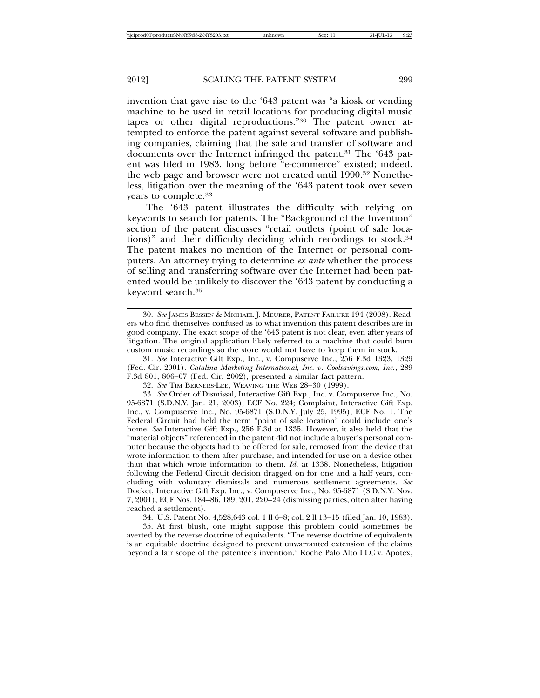invention that gave rise to the '643 patent was "a kiosk or vending machine to be used in retail locations for producing digital music tapes or other digital reproductions."30 The patent owner attempted to enforce the patent against several software and publishing companies, claiming that the sale and transfer of software and documents over the Internet infringed the patent.31 The '643 patent was filed in 1983, long before "e-commerce" existed; indeed, the web page and browser were not created until 1990.<sup>32</sup> Nonetheless, litigation over the meaning of the '643 patent took over seven years to complete.33

The '643 patent illustrates the difficulty with relying on keywords to search for patents. The "Background of the Invention" section of the patent discusses "retail outlets (point of sale locations)" and their difficulty deciding which recordings to stock.34 The patent makes no mention of the Internet or personal computers. An attorney trying to determine *ex ante* whether the process of selling and transferring software over the Internet had been patented would be unlikely to discover the '643 patent by conducting a keyword search.35

34. U.S. Patent No. 4,528,643 col. 1 ll 6–8; col. 2 ll 13–15 (filed Jan. 10, 1983).

35. At first blush, one might suppose this problem could sometimes be averted by the reverse doctrine of equivalents. "The reverse doctrine of equivalents is an equitable doctrine designed to prevent unwarranted extension of the claims beyond a fair scope of the patentee's invention." Roche Palo Alto LLC v. Apotex,

<sup>30.</sup> *See* JAMES BESSEN & MICHAEL J. MEURER, PATENT FAILURE 194 (2008). Readers who find themselves confused as to what invention this patent describes are in good company. The exact scope of the '643 patent is not clear, even after years of litigation. The original application likely referred to a machine that could burn custom music recordings so the store would not have to keep them in stock.

<sup>31.</sup> *See* Interactive Gift Exp., Inc., v. Compuserve Inc., 256 F.3d 1323, 1329 (Fed. Cir. 2001). *Catalina Marketing International, Inc. v. Coolsavings.com, Inc.*, 289 F.3d 801, 806–07 (Fed. Cir. 2002), presented a similar fact pattern.

<sup>32.</sup> *See* TIM BERNERS-LEE, WEAVING THE WEB 28–30 (1999).

<sup>33.</sup> *See* Order of Dismissal, Interactive Gift Exp., Inc. v. Compuserve Inc., No. 95-6871 (S.D.N.Y. Jan. 21, 2003), ECF No. 224; Complaint, Interactive Gift Exp. Inc., v. Compuserve Inc., No. 95-6871 (S.D.N.Y. July 25, 1995), ECF No. 1. The Federal Circuit had held the term "point of sale location" could include one's home. *See* Interactive Gift Exp., 256 F.3d at 1335. However, it also held that the "material objects" referenced in the patent did not include a buyer's personal computer because the objects had to be offered for sale, removed from the device that wrote information to them after purchase, and intended for use on a device other than that which wrote information to them. *Id*. at 1338. Nonetheless, litigation following the Federal Circuit decision dragged on for one and a half years, concluding with voluntary dismissals and numerous settlement agreements. *See* Docket, Interactive Gift Exp. Inc., v. Compuserve Inc., No. 95-6871 (S.D.N.Y. Nov. 7, 2001), ECF Nos. 184–86, 189, 201, 220–24 (dismissing parties, often after having reached a settlement).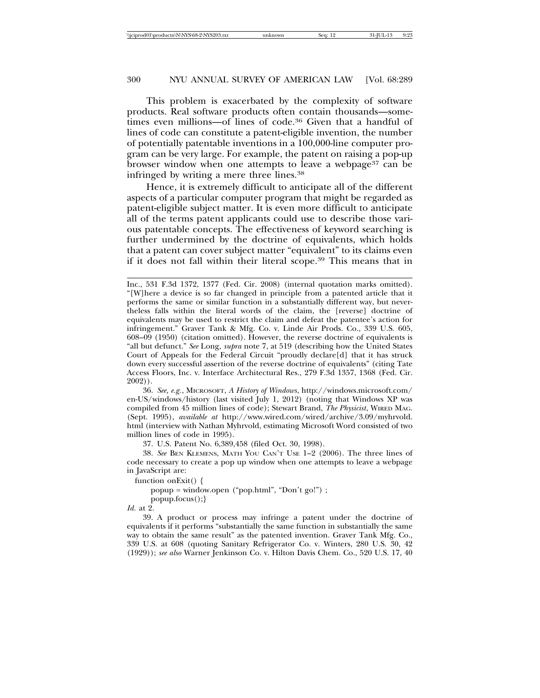This problem is exacerbated by the complexity of software products. Real software products often contain thousands—sometimes even millions—of lines of code.36 Given that a handful of lines of code can constitute a patent-eligible invention, the number of potentially patentable inventions in a 100,000-line computer program can be very large. For example, the patent on raising a pop-up browser window when one attempts to leave a webpage<sup>37</sup> can be infringed by writing a mere three lines.38

Hence, it is extremely difficult to anticipate all of the different aspects of a particular computer program that might be regarded as patent-eligible subject matter. It is even more difficult to anticipate all of the terms patent applicants could use to describe those various patentable concepts. The effectiveness of keyword searching is further undermined by the doctrine of equivalents, which holds that a patent can cover subject matter "equivalent" to its claims even if it does not fall within their literal scope.39 This means that in

36. *See, e.g.*, MICROSOFT, *A History of Windows*, http://windows.microsoft.com/ en-US/windows/history (last visited July 1, 2012) (noting that Windows XP was compiled from 45 million lines of code); Stewart Brand, *The Physicist*, WIRED MAG. (Sept. 1995), *available at* http://www.wired.com/wired/archive/3.09/myhrvold. html (interview with Nathan Myhrvold, estimating Microsoft Word consisted of two million lines of code in 1995).

37. U.S. Patent No. 6,389,458 (filed Oct. 30, 1998).

38. *See* BEN KLEMENS, MATH YOU CAN'T USE 1–2 (2006). The three lines of code necessary to create a pop up window when one attempts to leave a webpage in JavaScript are:

function onExit() {

popup = window.open ("pop.html", "Don't go!") ;

popup.focus();}

*Id.* at 2.

39. A product or process may infringe a patent under the doctrine of equivalents if it performs "substantially the same function in substantially the same way to obtain the same result" as the patented invention. Graver Tank Mfg. Co., 339 U.S. at 608 (quoting Sanitary Refrigerator Co. v. Winters, 280 U.S. 30, 42 (1929)); *see also* Warner Jenkinson Co. v. Hilton Davis Chem. Co., 520 U.S. 17, 40

Inc., 531 F.3d 1372, 1377 (Fed. Cir. 2008) (internal quotation marks omitted). "[W]here a device is so far changed in principle from a patented article that it performs the same or similar function in a substantially different way, but nevertheless falls within the literal words of the claim, the [reverse] doctrine of equivalents may be used to restrict the claim and defeat the patentee's action for infringement." Graver Tank & Mfg. Co. v. Linde Air Prods. Co., 339 U.S. 605, 608–09 (1950) (citation omitted). However, the reverse doctrine of equivalents is "all but defunct." *See* Long*, supra* note 7, at 519 (describing how the United States Court of Appeals for the Federal Circuit "proudly declare[d] that it has struck down every successful assertion of the reverse doctrine of equivalents" (citing Tate Access Floors, Inc. v. Interface Architectural Res., 279 F.3d 1357, 1368 (Fed. Cir. 2002)).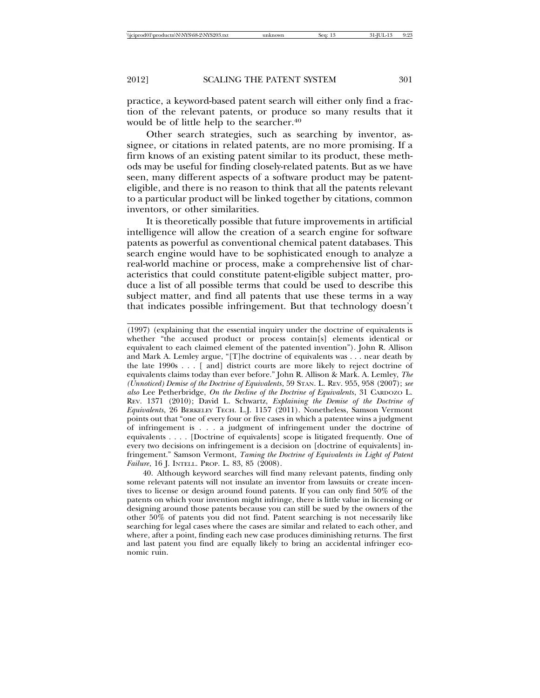practice, a keyword-based patent search will either only find a fraction of the relevant patents, or produce so many results that it would be of little help to the searcher.<sup>40</sup>

Other search strategies, such as searching by inventor, assignee, or citations in related patents, are no more promising. If a firm knows of an existing patent similar to its product, these methods may be useful for finding closely-related patents. But as we have seen, many different aspects of a software product may be patenteligible, and there is no reason to think that all the patents relevant to a particular product will be linked together by citations, common inventors, or other similarities.

It is theoretically possible that future improvements in artificial intelligence will allow the creation of a search engine for software patents as powerful as conventional chemical patent databases. This search engine would have to be sophisticated enough to analyze a real-world machine or process, make a comprehensive list of characteristics that could constitute patent-eligible subject matter, produce a list of all possible terms that could be used to describe this subject matter, and find all patents that use these terms in a way that indicates possible infringement. But that technology doesn't

<sup>(1997) (</sup>explaining that the essential inquiry under the doctrine of equivalents is whether "the accused product or process contain[s] elements identical or equivalent to each claimed element of the patented invention"). John R. Allison and Mark A. Lemley argue, "[T]he doctrine of equivalents was . . . near death by the late 1990s . . . [ and] district courts are more likely to reject doctrine of equivalents claims today than ever before." John R. Allison & Mark. A. Lemley, *The (Unnoticed) Demise of the Doctrine of Equivalents*, 59 STAN. L. REV. 955, 958 (2007); *see also* Lee Petherbridge, *On the Decline of the Doctrine of Equivalents*, 31 CARDOZO L. REV. 1371 (2010); David L. Schwartz, *Explaining the Demise of the Doctrine of Equivalents*, 26 BERKELEY TECH. L.J. 1157 (2011). Nonetheless, Samson Vermont points out that "one of every four or five cases in which a patentee wins a judgment of infringement is . . . a judgment of infringement under the doctrine of equivalents . . . . [Doctrine of equivalents] scope is litigated frequently. One of every two decisions on infringement is a decision on [doctrine of equivalents] infringement." Samson Vermont, *Taming the Doctrine of Equivalents in Light of Patent Failure*, 16 J. INTELL. PROP. L. 83, 85 (2008).

<sup>40.</sup> Although keyword searches will find many relevant patents, finding only some relevant patents will not insulate an inventor from lawsuits or create incentives to license or design around found patents. If you can only find 50% of the patents on which your invention might infringe, there is little value in licensing or designing around those patents because you can still be sued by the owners of the other 50% of patents you did not find. Patent searching is not necessarily like searching for legal cases where the cases are similar and related to each other, and where, after a point, finding each new case produces diminishing returns. The first and last patent you find are equally likely to bring an accidental infringer economic ruin.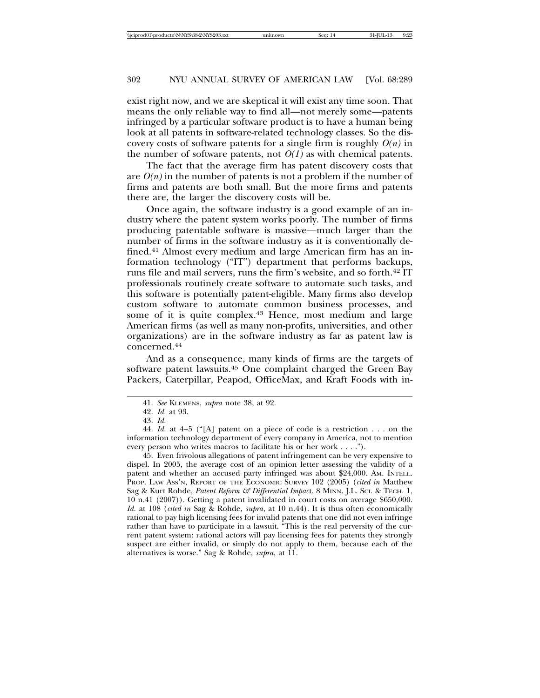exist right now, and we are skeptical it will exist any time soon. That means the only reliable way to find all—not merely some—patents infringed by a particular software product is to have a human being look at all patents in software-related technology classes. So the discovery costs of software patents for a single firm is roughly  $O(n)$  in the number of software patents, not  $O(1)$  as with chemical patents.

The fact that the average firm has patent discovery costs that are  $O(n)$  in the number of patents is not a problem if the number of firms and patents are both small. But the more firms and patents there are, the larger the discovery costs will be.

Once again, the software industry is a good example of an industry where the patent system works poorly. The number of firms producing patentable software is massive—much larger than the number of firms in the software industry as it is conventionally defined.41 Almost every medium and large American firm has an information technology ("IT") department that performs backups, runs file and mail servers, runs the firm's website, and so forth.42 IT professionals routinely create software to automate such tasks, and this software is potentially patent-eligible. Many firms also develop custom software to automate common business processes, and some of it is quite complex.<sup>43</sup> Hence, most medium and large American firms (as well as many non-profits, universities, and other organizations) are in the software industry as far as patent law is concerned.44

And as a consequence, many kinds of firms are the targets of software patent lawsuits.45 One complaint charged the Green Bay Packers, Caterpillar, Peapod, OfficeMax, and Kraft Foods with in-

45. Even frivolous allegations of patent infringement can be very expensive to dispel. In 2005, the average cost of an opinion letter assessing the validity of a patent and whether an accused party infringed was about \$24,000. AM. INTELL. PROP. LAW ASS'N, REPORT OF THE ECONOMIC SURVEY 102 (2005) (*cited in* Matthew Sag & Kurt Rohde, *Patent Reform & Differential Impac*t, 8 MINN. J.L. SCI. & TECH. 1, 10 n.41 (2007)). Getting a patent invalidated in court costs on average \$650,000. *Id.* at 108 (*cited in* Sag & Rohde, *supra*, at 10 n.44). It is thus often economically rational to pay high licensing fees for invalid patents that one did not even infringe rather than have to participate in a lawsuit. "This is the real perversity of the current patent system: rational actors will pay licensing fees for patents they strongly suspect are either invalid, or simply do not apply to them, because each of the alternatives is worse." Sag & Rohde, *supra*, at 11.

<sup>41.</sup> *See* KLEMENS, *supra* note 38, at 92.

<sup>42.</sup> *Id.* at 93.

<sup>43.</sup> *Id.*

<sup>44.</sup> *Id.* at 4–5 ("[A] patent on a piece of code is a restriction . . . on the information technology department of every company in America, not to mention every person who writes macros to facilitate his or her work . . . .").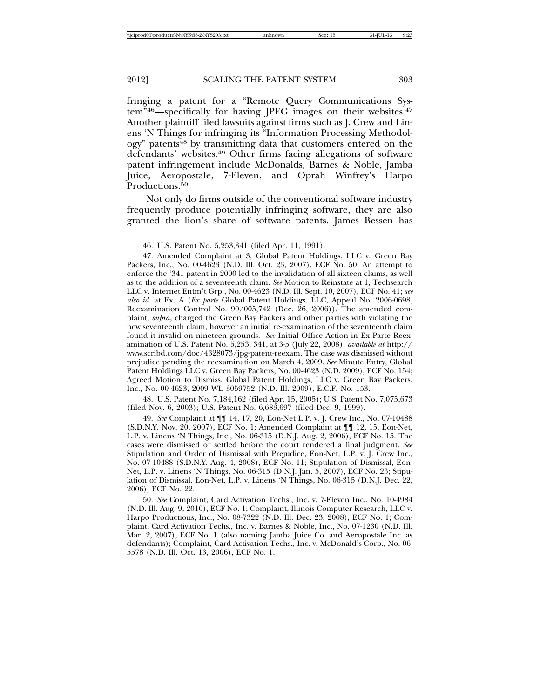fringing a patent for a "Remote Query Communications System"<sup>46</sup>—specifically for having JPEG images on their websites.<sup>47</sup> Another plaintiff filed lawsuits against firms such as J. Crew and Linens 'N Things for infringing its "Information Processing Methodology" patents48 by transmitting data that customers entered on the defendants' websites.49 Other firms facing allegations of software patent infringement include McDonalds, Barnes & Noble, Jamba Juice, Aeropostale, 7-Eleven, and Oprah Winfrey's Harpo Productions.<sup>50</sup>

Not only do firms outside of the conventional software industry frequently produce potentially infringing software, they are also granted the lion's share of software patents. James Bessen has

48. U.S. Patent No. 7,184,162 (filed Apr. 15, 2005); U.S. Patent No. 7,075,673 (filed Nov. 6, 2003); U.S. Patent No. 6,683,697 (filed Dec. 9, 1999).

49. *See* Complaint at ¶¶ 14, 17, 20, Eon-Net L.P. v. J. Crew Inc., No. 07-10488 (S.D.N.Y. Nov. 20, 2007), ECF No. 1; Amended Complaint at ¶¶ 12, 15, Eon-Net, L.P. v. Linens 'N Things, Inc., No. 06-315 (D.N.J. Aug. 2, 2006), ECF No. 15. The cases were dismissed or settled before the court rendered a final judgment. *See* Stipulation and Order of Dismissal with Prejudice, Eon-Net, L.P. v. J. Crew Inc., No. 07-10488 (S.D.N.Y. Aug. 4, 2008), ECF No. 11; Stipulation of Dismissal, Eon-Net, L.P. v. Linens 'N Things, No. 06-315 (D.N.J. Jan. 5, 2007), ECF No. 23; Stipulation of Dismissal, Eon-Net, L.P. v. Linens 'N Things, No. 06-315 (D.N.J. Dec. 22, 2006), ECF No. 22.

50. *See* Complaint, Card Activation Techs., Inc. v. 7-Eleven Inc., No. 10-4984 (N.D. Ill. Aug. 9, 2010), ECF No. 1; Complaint, Illinois Computer Research, LLC v. Harpo Productions, Inc., No. 08-7322 (N.D. Ill. Dec. 23, 2008), ECF No. 1; Complaint, Card Activation Techs., Inc. v. Barnes & Noble, Inc., No. 07-1230 (N.D. Ill. Mar. 2, 2007), ECF No. 1 (also naming Jamba Juice Co. and Aeropostale Inc. as defendants); Complaint, Card Activation Techs., Inc. v. McDonald's Corp., No. 06- 5578 (N.D. Ill. Oct. 13, 2006), ECF No. 1.

<sup>46.</sup> U.S. Patent No. 5,253,341 (filed Apr. 11, 1991).

<sup>47.</sup> Amended Complaint at 3, Global Patent Holdings, LLC v. Green Bay Packers, Inc., No. 00-4623 (N.D. Ill. Oct. 23, 2007), ECF No. 50. An attempt to enforce the '341 patent in 2000 led to the invalidation of all sixteen claims, as well as to the addition of a seventeenth claim. *See* Motion to Reinstate at 1, Techsearch LLC v. Internet Entm't Grp., No. 00-4623 (N.D. Ill. Sept. 10, 2007), ECF No. 41; *see also id*. at Ex. A (*Ex parte* Global Patent Holdings, LLC, Appeal No. 2006-0698, Reexamination Control No. 90/005,742 (Dec. 26, 2006)). The amended complaint, *supra*, charged the Green Bay Packers and other parties with violating the new seventeenth claim, however an initial re-examination of the seventeenth claim found it invalid on nineteen grounds. *See* Initial Office Action in Ex Parte Reexamination of U.S. Patent No. 5,253, 341, at 3-5 (July 22, 2008), *available at* http:// www.scribd.com/doc/4328073/jpg-patent-reexam. The case was dismissed without prejudice pending the reexamination on March 4, 2009. *See* Minute Entry, Global Patent Holdings LLC v. Green Bay Packers, No. 00-4623 (N.D. 2009), ECF No. 154; Agreed Motion to Dismiss, Global Patent Holdings, LLC v. Green Bay Packers, Inc., No. 00-4623, 2009 WL 3059752 (N.D. Ill. 2009), E.C.F. No. 153.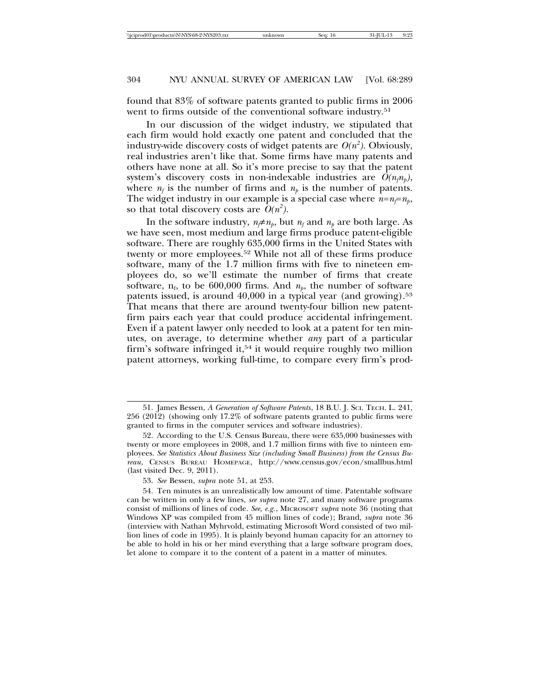found that 83% of software patents granted to public firms in 2006 went to firms outside of the conventional software industry.<sup>51</sup>

In our discussion of the widget industry, we stipulated that each firm would hold exactly one patent and concluded that the industry-wide discovery costs of widget patents are  $O(n^2)$ . Obviously, real industries aren't like that. Some firms have many patents and others have none at all. So it's more precise to say that the patent system's discovery costs in non-indexable industries are  $O(n_i n_p)$ , where  $n_f$  is the number of firms and  $n_p$  is the number of patents. The widget industry in our example is a special case where  $n=n_f=n_p$ , so that total discovery costs are  $\tilde{O}(n^2)$ .

In the software industry,  $n \neq n_p$ , but  $n_f$  and  $n_p$  are both large. As we have seen, most medium and large firms produce patent-eligible software. There are roughly 635,000 firms in the United States with twenty or more employees.52 While not all of these firms produce software, many of the 1.7 million firms with five to nineteen employees do, so we'll estimate the number of firms that create software,  $n_f$ , to be 600,000 firms. And  $n_p$ , the number of software patents issued, is around 40,000 in a typical year (and growing).<sup>53</sup> That means that there are around twenty-four billion new patentfirm pairs each year that could produce accidental infringement. Even if a patent lawyer only needed to look at a patent for ten minutes, on average, to determine whether *any* part of a particular firm's software infringed it,<sup>54</sup> it would require roughly two million patent attorneys, working full-time, to compare every firm's prod-

<sup>51.</sup> James Bessen, *A Generation of Software Patents*, 18 B.U. J. SCI. TECH. L. 241, 256 (2012) (showing only 17.2% of software patents granted to public firms were granted to firms in the computer services and software industries).

<sup>52.</sup> According to the U.S. Census Bureau, there were 635,000 businesses with twenty or more employees in 2008, and 1.7 million firms with five to ninteen employees. *See Statistics About Business Size (including Small Business) from the Census Bureau*, CENSUS BUREAU HOMEPAGE, http://www.census.gov/econ/smallbus.html (last visited Dec. 9, 2011).

<sup>53.</sup> *See* Bessen, *supra* note 51, at 253.

<sup>54.</sup> Ten minutes is an unrealistically low amount of time. Patentable software can be written in only a few lines, *see supra* note 27, and many software programs consist of millions of lines of code. *See, e.g.*, MICROSOFT *supra* note 36 (noting that Windows XP was compiled from 45 million lines of code); Brand, *supra* note 36 (interview with Nathan Myhrvold, estimating Microsoft Word consisted of two million lines of code in 1995). It is plainly beyond human capacity for an attorney to be able to hold in his or her mind everything that a large software program does, let alone to compare it to the content of a patent in a matter of minutes.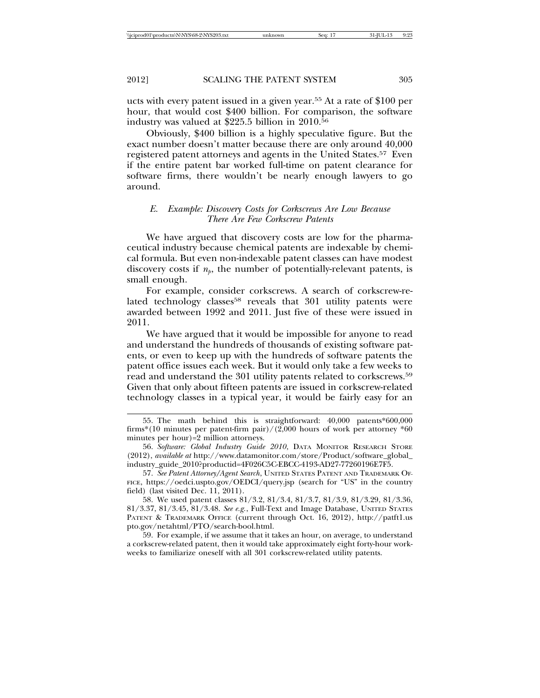ucts with every patent issued in a given year.55 At a rate of \$100 per hour, that would cost \$400 billion. For comparison, the software industry was valued at \$225.5 billion in 2010.56

Obviously, \$400 billion is a highly speculative figure. But the exact number doesn't matter because there are only around 40,000 registered patent attorneys and agents in the United States.57 Even if the entire patent bar worked full-time on patent clearance for software firms, there wouldn't be nearly enough lawyers to go around.

# *E. Example: Discovery Costs for Corkscrews Are Low Because There Are Few Corkscrew Patents*

We have argued that discovery costs are low for the pharmaceutical industry because chemical patents are indexable by chemical formula. But even non-indexable patent classes can have modest discovery costs if  $n_p$ , the number of potentially-relevant patents, is small enough.

For example, consider corkscrews. A search of corkscrew-related technology classes<sup>58</sup> reveals that 301 utility patents were awarded between 1992 and 2011. Just five of these were issued in 2011.

We have argued that it would be impossible for anyone to read and understand the hundreds of thousands of existing software patents, or even to keep up with the hundreds of software patents the patent office issues each week. But it would only take a few weeks to read and understand the 301 utility patents related to corkscrews.59 Given that only about fifteen patents are issued in corkscrew-related technology classes in a typical year, it would be fairly easy for an

57. *See Patent Attorney/Agent Search*, UNITED STATES PATENT AND TRADEMARK OF-FICE, https://oedci.uspto.gov/OEDCI/query.jsp (search for "US" in the country field) (last visited Dec. 11, 2011).

58. We used patent classes 81/3.2, 81/3.4, 81/3.7, 81/3.9, 81/3.29, 81/3.36, 81/3.37, 81/3.45, 81/3.48. *See e.g.*, Full-Text and Image Database, UNITED STATES PATENT & TRADEMARK OFFICE (current through Oct. 16, 2012), http://patft1.us pto.gov/netahtml/PTO/search-bool.html.

59. For example, if we assume that it takes an hour, on average, to understand a corkscrew-related patent, then it would take approximately eight forty-hour workweeks to familiarize oneself with all 301 corkscrew-related utility patents.

<sup>55.</sup> The math behind this is straightforward: 40,000 patents\*600,000 firms\*(10 minutes per patent-firm pair)/(2,000 hours of work per attorney \*60 minutes per hour)=2 million attorneys.

<sup>56.</sup> *Software: Global Industry Guide 2010*, DATA MONITOR RESEARCH STORE (2012), *available at* http://www.datamonitor.com/store/Product/software\_global\_ industry\_guide\_2010?productid=4F026C5C-EBCC-4193-AD27-77260196E7F5.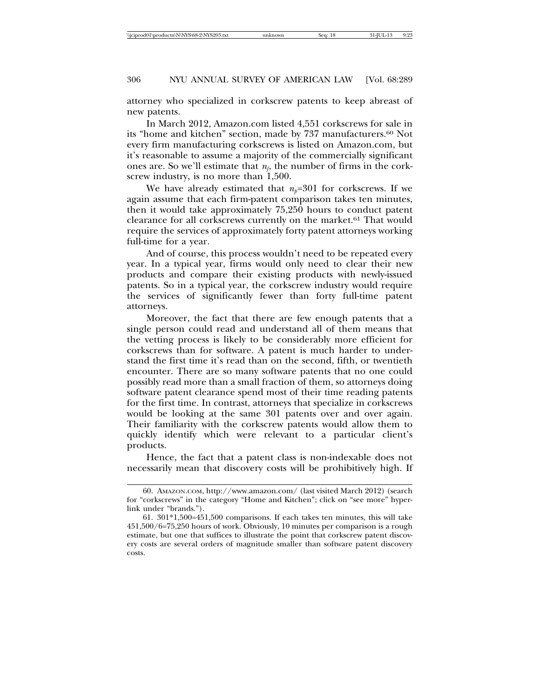attorney who specialized in corkscrew patents to keep abreast of new patents.

In March 2012, Amazon.com listed 4,551 corkscrews for sale in its "home and kitchen" section, made by 737 manufacturers.60 Not every firm manufacturing corkscrews is listed on Amazon.com, but it's reasonable to assume a majority of the commercially significant ones are. So we'll estimate that  $n<sub>f</sub>$ , the number of firms in the corkscrew industry, is no more than 1,500.

We have already estimated that  $n_p=301$  for corkscrews. If we again assume that each firm-patent comparison takes ten minutes, then it would take approximately 75,250 hours to conduct patent clearance for all corkscrews currently on the market.<sup>61</sup> That would require the services of approximately forty patent attorneys working full-time for a year.

And of course, this process wouldn't need to be repeated every year. In a typical year, firms would only need to clear their new products and compare their existing products with newly-issued patents. So in a typical year, the corkscrew industry would require the services of significantly fewer than forty full-time patent attorneys.

Moreover, the fact that there are few enough patents that a single person could read and understand all of them means that the vetting process is likely to be considerably more efficient for corkscrews than for software. A patent is much harder to understand the first time it's read than on the second, fifth, or twentieth encounter. There are so many software patents that no one could possibly read more than a small fraction of them, so attorneys doing software patent clearance spend most of their time reading patents for the first time. In contrast, attorneys that specialize in corkscrews would be looking at the same 301 patents over and over again. Their familiarity with the corkscrew patents would allow them to quickly identify which were relevant to a particular client's products.

Hence, the fact that a patent class is non-indexable does not necessarily mean that discovery costs will be prohibitively high. If

<sup>60.</sup> AMAZON.COM, http://www.amazon.com/ (last visited March 2012) (search for "corkscrews" in the category "Home and Kitchen"; click on "see more" hyperlink under "brands.").

<sup>61. 301\*1,500=451,500</sup> comparisons. If each takes ten minutes, this will take 451,500/6=75,250 hours of work. Obviously, 10 minutes per comparison is a rough estimate, but one that suffices to illustrate the point that corkscrew patent discovery costs are several orders of magnitude smaller than software patent discovery costs.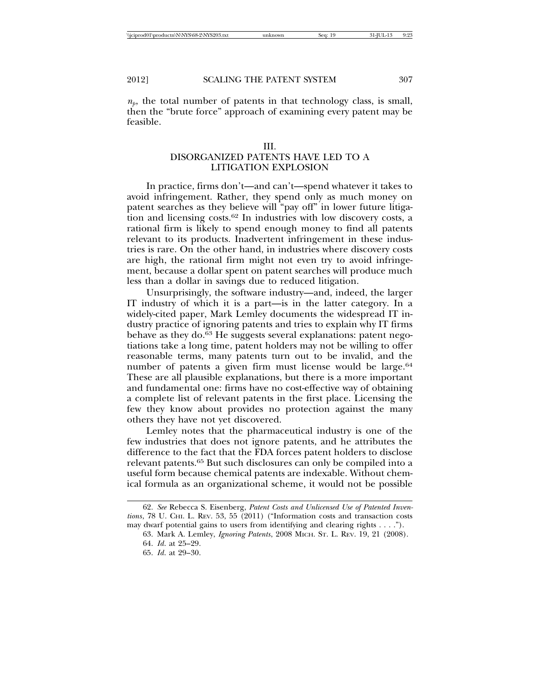$n_p$ , the total number of patents in that technology class, is small, then the "brute force" approach of examining every patent may be feasible.

#### III.

# DISORGANIZED PATENTS HAVE LED TO A LITIGATION EXPLOSION

In practice, firms don't—and can't—spend whatever it takes to avoid infringement. Rather, they spend only as much money on patent searches as they believe will "pay off" in lower future litigation and licensing costs.62 In industries with low discovery costs, a rational firm is likely to spend enough money to find all patents relevant to its products. Inadvertent infringement in these industries is rare. On the other hand, in industries where discovery costs are high, the rational firm might not even try to avoid infringement, because a dollar spent on patent searches will produce much less than a dollar in savings due to reduced litigation.

Unsurprisingly, the software industry—and, indeed, the larger IT industry of which it is a part—is in the latter category. In a widely-cited paper, Mark Lemley documents the widespread IT industry practice of ignoring patents and tries to explain why IT firms behave as they do.63 He suggests several explanations: patent negotiations take a long time, patent holders may not be willing to offer reasonable terms, many patents turn out to be invalid, and the number of patents a given firm must license would be large.<sup>64</sup> These are all plausible explanations, but there is a more important and fundamental one: firms have no cost-effective way of obtaining a complete list of relevant patents in the first place. Licensing the few they know about provides no protection against the many others they have not yet discovered.

Lemley notes that the pharmaceutical industry is one of the few industries that does not ignore patents, and he attributes the difference to the fact that the FDA forces patent holders to disclose relevant patents.65 But such disclosures can only be compiled into a useful form because chemical patents are indexable. Without chemical formula as an organizational scheme, it would not be possible

<sup>62.</sup> *See* Rebecca S. Eisenberg, *Patent Costs and Unlicensed Use of Patented Inventions*, 78 U. CHI. L. REV. 53, 55 (2011) ("Information costs and transaction costs may dwarf potential gains to users from identifying and clearing rights . . . .").

<sup>63.</sup> Mark A. Lemley, *Ignoring Patents*, 2008 MICH. ST. L. REV. 19, 21 (2008).

<sup>64.</sup> *Id*. at 25–29.

<sup>65.</sup> *Id*. at 29–30.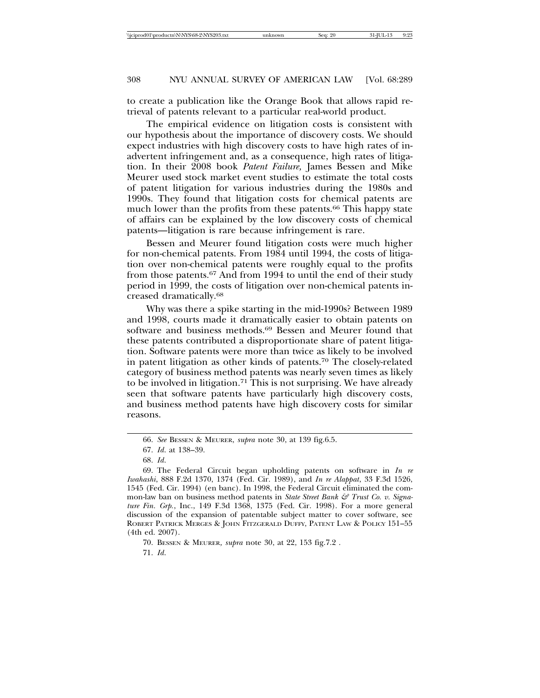to create a publication like the Orange Book that allows rapid retrieval of patents relevant to a particular real-world product.

The empirical evidence on litigation costs is consistent with our hypothesis about the importance of discovery costs. We should expect industries with high discovery costs to have high rates of inadvertent infringement and, as a consequence, high rates of litigation. In their 2008 book *Patent Failure,* James Bessen and Mike Meurer used stock market event studies to estimate the total costs of patent litigation for various industries during the 1980s and 1990s. They found that litigation costs for chemical patents are much lower than the profits from these patents.<sup>66</sup> This happy state of affairs can be explained by the low discovery costs of chemical patents—litigation is rare because infringement is rare.

Bessen and Meurer found litigation costs were much higher for non-chemical patents. From 1984 until 1994, the costs of litigation over non-chemical patents were roughly equal to the profits from those patents.67 And from 1994 to until the end of their study period in 1999, the costs of litigation over non-chemical patents increased dramatically.68

Why was there a spike starting in the mid-1990s? Between 1989 and 1998, courts made it dramatically easier to obtain patents on software and business methods.69 Bessen and Meurer found that these patents contributed a disproportionate share of patent litigation. Software patents were more than twice as likely to be involved in patent litigation as other kinds of patents.70 The closely-related category of business method patents was nearly seven times as likely to be involved in litigation.<sup>71</sup> This is not surprising. We have already seen that software patents have particularly high discovery costs, and business method patents have high discovery costs for similar reasons.

<sup>66.</sup> *See* BESSEN & MEURER, *supra* note 30, at 139 fig.6.5.

<sup>67.</sup> *Id*. at 138–39.

<sup>68.</sup> *Id*.

<sup>69.</sup> The Federal Circuit began upholding patents on software in *In re Iwahashi*, 888 F.2d 1370, 1374 (Fed. Cir. 1989), and *In re Alappat*, 33 F.3d 1526, 1545 (Fed. Cir. 1994) (en banc). In 1998, the Federal Circuit eliminated the common-law ban on business method patents in *State Street Bank & Trust Co. v. Signature Fin. Grp.*, Inc., 149 F.3d 1368, 1375 (Fed. Cir. 1998). For a more general discussion of the expansion of patentable subject matter to cover software, see ROBERT PATRICK MERGES & JOHN FITZGERALD DUFFY, PATENT LAW & POLICY 151–55 (4th ed. 2007).

<sup>70.</sup> BESSEN & MEURER*, supra* note 30, at 22, 153 fig.7.2 .

<sup>71.</sup> *Id*.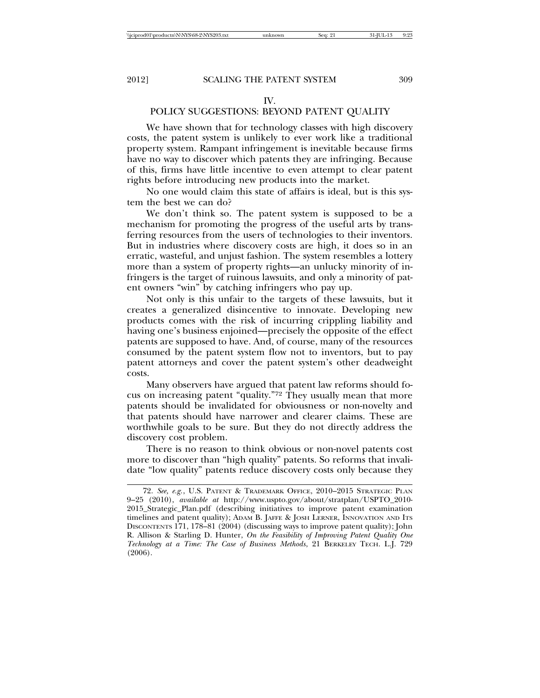# IV.

# POLICY SUGGESTIONS: BEYOND PATENT QUALITY

We have shown that for technology classes with high discovery costs, the patent system is unlikely to ever work like a traditional property system. Rampant infringement is inevitable because firms have no way to discover which patents they are infringing. Because of this, firms have little incentive to even attempt to clear patent rights before introducing new products into the market.

No one would claim this state of affairs is ideal, but is this system the best we can do?

We don't think so. The patent system is supposed to be a mechanism for promoting the progress of the useful arts by transferring resources from the users of technologies to their inventors. But in industries where discovery costs are high, it does so in an erratic, wasteful, and unjust fashion. The system resembles a lottery more than a system of property rights—an unlucky minority of infringers is the target of ruinous lawsuits, and only a minority of patent owners "win" by catching infringers who pay up.

Not only is this unfair to the targets of these lawsuits, but it creates a generalized disincentive to innovate. Developing new products comes with the risk of incurring crippling liability and having one's business enjoined—precisely the opposite of the effect patents are supposed to have. And, of course, many of the resources consumed by the patent system flow not to inventors, but to pay patent attorneys and cover the patent system's other deadweight costs.

Many observers have argued that patent law reforms should focus on increasing patent "quality."72 They usually mean that more patents should be invalidated for obviousness or non-novelty and that patents should have narrower and clearer claims. These are worthwhile goals to be sure. But they do not directly address the discovery cost problem.

There is no reason to think obvious or non-novel patents cost more to discover than "high quality" patents. So reforms that invalidate "low quality" patents reduce discovery costs only because they

<sup>72.</sup> *See, e.g.*, U.S. PATENT & TRADEMARK OFFICE, 2010–2015 STRATEGIC PLAN 9–25 (2010), *available at* http://www.uspto.gov/about/stratplan/USPTO\_2010- 2015\_Strategic\_Plan.pdf (describing initiatives to improve patent examination timelines and patent quality); ADAM B. JAFFE & JOSH LERNER, INNOVATION AND ITS DISCONTENTS 171, 178–81 (2004) (discussing ways to improve patent quality); John R. Allison & Starling D. Hunter, *On the Feasibility of Improving Patent Quality One Technology at a Time: The Case of Business Methods*, 21 BERKELEY TECH. L.J. 729 (2006).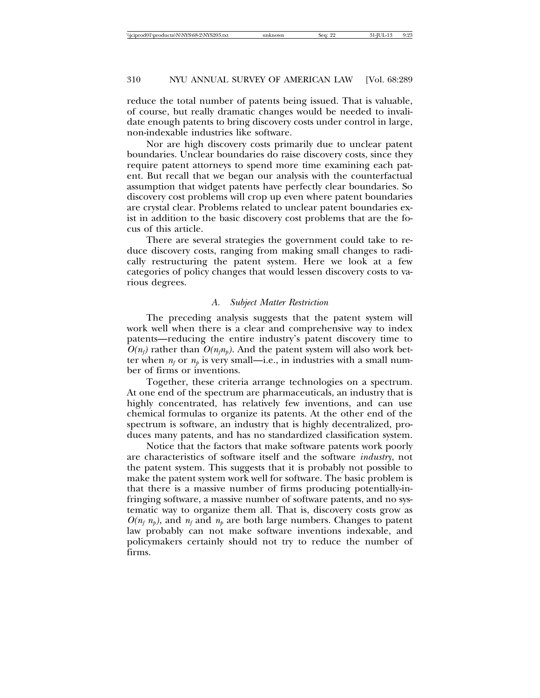reduce the total number of patents being issued. That is valuable, of course, but really dramatic changes would be needed to invalidate enough patents to bring discovery costs under control in large, non-indexable industries like software.

Nor are high discovery costs primarily due to unclear patent boundaries. Unclear boundaries do raise discovery costs, since they require patent attorneys to spend more time examining each patent. But recall that we began our analysis with the counterfactual assumption that widget patents have perfectly clear boundaries. So discovery cost problems will crop up even where patent boundaries are crystal clear. Problems related to unclear patent boundaries exist in addition to the basic discovery cost problems that are the focus of this article.

There are several strategies the government could take to reduce discovery costs, ranging from making small changes to radically restructuring the patent system. Here we look at a few categories of policy changes that would lessen discovery costs to various degrees.

## *A. Subject Matter Restriction*

The preceding analysis suggests that the patent system will work well when there is a clear and comprehensive way to index patents—reducing the entire industry's patent discovery time to  $O(n_f)$  rather than  $O(n_f n_b)$ . And the patent system will also work better when  $n_f$  or  $n_b$  is very small—i.e., in industries with a small number of firms or inventions.

Together, these criteria arrange technologies on a spectrum. At one end of the spectrum are pharmaceuticals, an industry that is highly concentrated, has relatively few inventions, and can use chemical formulas to organize its patents. At the other end of the spectrum is software, an industry that is highly decentralized, produces many patents, and has no standardized classification system.

Notice that the factors that make software patents work poorly are characteristics of software itself and the software *industry*, not the patent system. This suggests that it is probably not possible to make the patent system work well for software. The basic problem is that there is a massive number of firms producing potentially-infringing software, a massive number of software patents, and no systematic way to organize them all. That is, discovery costs grow as  $O(n_f n_p)$ , and  $n_f$  and  $n_p$  are both large numbers. Changes to patent law probably can not make software inventions indexable, and policymakers certainly should not try to reduce the number of firms.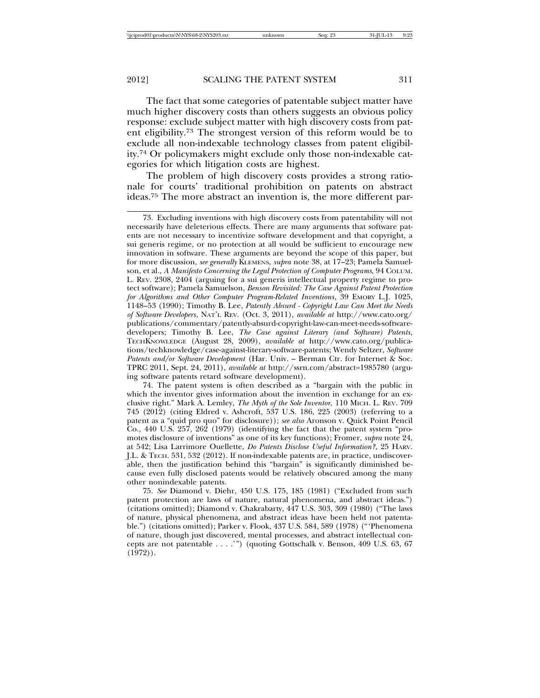The fact that some categories of patentable subject matter have much higher discovery costs than others suggests an obvious policy response: exclude subject matter with high discovery costs from patent eligibility.73 The strongest version of this reform would be to exclude all non-indexable technology classes from patent eligibility.74 Or policymakers might exclude only those non-indexable categories for which litigation costs are highest.

The problem of high discovery costs provides a strong rationale for courts' traditional prohibition on patents on abstract ideas.75 The more abstract an invention is, the more different par-

74. The patent system is often described as a "bargain with the public in which the inventor gives information about the invention in exchange for an exclusive right." Mark A. Lemley, *The Myth of the Sole Inventor,* 110 MICH. L. REV. 709 745 (2012) (citing Eldred v. Ashcroft, 537 U.S. 186, 225 (2003) (referring to a patent as a "quid pro quo" for disclosure)); *see also* Aronson v. Quick Point Pencil Co., 440 U.S. 257, 262 (1979) (identifying the fact that the patent system "promotes disclosure of inventions" as one of its key functions); Fromer, *supra* note 24, at 542; Lisa Larrimore Ouellette, *Do Patents Disclose Useful Information?*, 25 HARV. J.L. & TECH. 531, 532 (2012). If non-indexable patents are, in practice, undiscoverable, then the justification behind this "bargain" is significantly diminished because even fully disclosed patents would be relatively obscured among the many other nonindexable patents.

75. *See* Diamond v. Diehr, 450 U.S. 175, 185 (1981) ("Excluded from such patent protection are laws of nature, natural phenomena, and abstract ideas.") (citations omitted); Diamond v. Chakrabarty, 447 U.S. 303, 309 (1980) ("The laws of nature, physical phenomena, and abstract ideas have been held not patentable.") (citations omitted); Parker v. Flook, 437 U.S. 584, 589 (1978) ("'Phenomena of nature, though just discovered, mental processes, and abstract intellectual concepts are not patentable . . . .'") (quoting Gottschalk v. Benson, 409 U.S. 63, 67  $(1972)$ .

<sup>73.</sup> Excluding inventions with high discovery costs from patentability will not necessarily have deleterious effects. There are many arguments that software patents are not necessary to incentivize software development and that copyright, a sui generis regime, or no protection at all would be sufficient to encourage new innovation in software. These arguments are beyond the scope of this paper, but for more discussion, *see generally* KLEMENS, *supra* note 38, at 17–23; Pamela Samuelson, et al., *A Manifesto Concerning the Legal Protection of Computer Programs*, 94 COLUM. L. REV. 2308, 2404 (arguing for a sui generis intellectual property regime to protect software); Pamela Samuelson, *Benson Revisited: The Case Against Patent Protection for Algorithms and Other Computer Program-Related Inventions*, 39 EMORY L.J. 1025, 1148–53 (1990); Timothy B. Lee, *Patently Absurd - Copyright Law Can Meet the Needs of Software Developers*, NAT'L REV. (Oct. 3, 2011), *available at* http://www.cato.org/ publications/commentary/patently-absurd-copyright-law-can-meet-needs-softwaredevelopers; Timothy B. Lee, *The Case against Literary (and Software) Patents*, TECHKNOWLEDGE (August 28, 2009), *available at* http://www.cato.org/publications/techknowledge/case-against-literary-software-patents; Wendy Seltzer, *Software Patents and/or Software Development* (Har. Univ. – Berman Ctr. for Internet & Soc. TPRC 2011, Sept. 24, 2011), *available at* http://ssrn.com/abstract=1985780 (arguing software patents retard software development).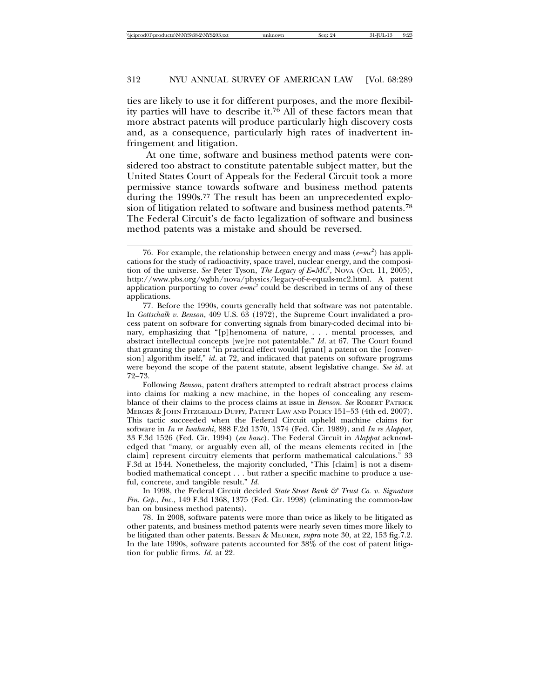ties are likely to use it for different purposes, and the more flexibility parties will have to describe it.76 All of these factors mean that more abstract patents will produce particularly high discovery costs and, as a consequence, particularly high rates of inadvertent infringement and litigation.

At one time, software and business method patents were considered too abstract to constitute patentable subject matter, but the United States Court of Appeals for the Federal Circuit took a more permissive stance towards software and business method patents during the 1990s.77 The result has been an unprecedented explosion of litigation related to software and business method patents.78 The Federal Circuit's de facto legalization of software and business method patents was a mistake and should be reversed.

<sup>76.</sup> For example, the relationship between energy and mass  $(e = mc^2)$  has applications for the study of radioactivity, space travel, nuclear energy, and the composition of the universe. *See* Peter Tyson, *The Legacy of E=MC2* , NOVA (Oct. 11, 2005), http://www.pbs.org/wgbh/nova/physics/legacy-of-e-equals-mc2.html. A patent application purporting to cover  $e = mc^2$  could be described in terms of any of these applications.

<sup>77.</sup> Before the 1990s, courts generally held that software was not patentable. In *Gottschalk v. Benson*, 409 U.S. 63 (1972), the Supreme Court invalidated a process patent on software for converting signals from binary-coded decimal into binary, emphasizing that "[p]henomena of nature, . . . mental processes, and abstract intellectual concepts [we]re not patentable." *Id*. at 67. The Court found that granting the patent "in practical effect would [grant] a patent on the [conversion] algorithm itself," *id*. at 72, and indicated that patents on software programs were beyond the scope of the patent statute, absent legislative change. *See id*. at 72–73.

Following *Benson*, patent drafters attempted to redraft abstract process claims into claims for making a new machine, in the hopes of concealing any resemblance of their claims to the process claims at issue in *Benson*. *See* ROBERT PATRICK MERGES & JOHN FITZGERALD DUFFY, PATENT LAW AND POLICY 151–53 (4th ed. 2007). This tactic succeeded when the Federal Circuit upheld machine claims for software in *In re Iwahashi*, 888 F.2d 1370, 1374 (Fed. Cir. 1989), and *In re Alappat*, 33 F.3d 1526 (Fed. Cir. 1994) (*en banc*). The Federal Circuit in *Alappat* acknowledged that "many, or arguably even all, of the means elements recited in [the claim] represent circuitry elements that perform mathematical calculations." 33 F.3d at 1544. Nonetheless, the majority concluded, "This [claim] is not a disembodied mathematical concept . . . but rather a specific machine to produce a useful, concrete, and tangible result." *Id.*

In 1998, the Federal Circuit decided *State Street Bank & Trust Co. v. Signature Fin. Grp*., *Inc.*, 149 F.3d 1368, 1375 (Fed. Cir. 1998) (eliminating the common-law ban on business method patents).

<sup>78.</sup> In 2008, software patents were more than twice as likely to be litigated as other patents, and business method patents were nearly seven times more likely to be litigated than other patents. BESSEN & MEURER, *supra* note 30, at 22, 153 fig.7.2. In the late 1990s, software patents accounted for 38% of the cost of patent litigation for public firms. *Id*. at 22.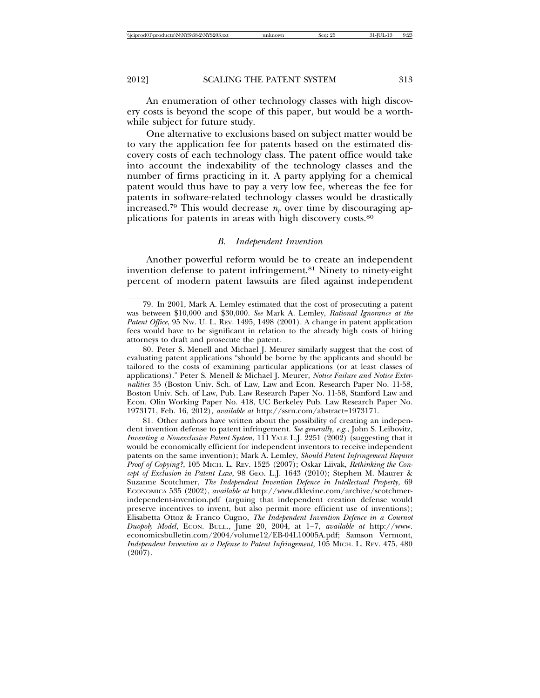An enumeration of other technology classes with high discovery costs is beyond the scope of this paper, but would be a worthwhile subject for future study.

One alternative to exclusions based on subject matter would be to vary the application fee for patents based on the estimated discovery costs of each technology class. The patent office would take into account the indexability of the technology classes and the number of firms practicing in it. A party applying for a chemical patent would thus have to pay a very low fee, whereas the fee for patents in software-related technology classes would be drastically increased.<sup>79</sup> This would decrease  $n_p$  over time by discouraging applications for patents in areas with high discovery costs.80

# *B. Independent Invention*

Another powerful reform would be to create an independent invention defense to patent infringement.81 Ninety to ninety-eight percent of modern patent lawsuits are filed against independent

<sup>79.</sup> In 2001, Mark A. Lemley estimated that the cost of prosecuting a patent was between \$10,000 and \$30,000. *See* Mark A. Lemley, *Rational Ignorance at the Patent Office*, 95 NW. U. L. REV. 1495, 1498 (2001). A change in patent application fees would have to be significant in relation to the already high costs of hiring attorneys to draft and prosecute the patent.

<sup>80.</sup> Peter S. Menell and Michael J. Meurer similarly suggest that the cost of evaluating patent applications "should be borne by the applicants and should be tailored to the costs of examining particular applications (or at least classes of applications)." Peter S. Menell & Michael J. Meurer, *Notice Failure and Notice Externalities* 35 (Boston Univ. Sch. of Law, Law and Econ. Research Paper No. 11-58, Boston Univ. Sch. of Law, Pub. Law Research Paper No. 11-58, Stanford Law and Econ. Olin Working Paper No. 418, UC Berkeley Pub. Law Research Paper No. 1973171, Feb. 16, 2012), *available at* http://ssrn.com/abstract=1973171.

<sup>81.</sup> Other authors have written about the possibility of creating an independent invention defense to patent infringement. *See generally, e.g.*, John S. Leibovitz, *Inventing a Nonexclusive Patent System*, 111 YALE L.J. 2251 (2002) (suggesting that it would be economically efficient for independent inventors to receive independent patents on the same invention); Mark A. Lemley, *Should Patent Infringement Require Proof of Copying?*, 105 MICH. L. REV. 1525 (2007); Oskar Liivak, *Rethinking the Concept of Exclusion in Patent Law*, 98 GEO. L.J. 1643 (2010); Stephen M. Maurer & Suzanne Scotchmer, *The Independent Invention Defence in Intellectual Property*, 69 ECONOMICA 535 (2002), *available at* http://www.dklevine.com/archive/scotchmerindependent-invention.pdf (arguing that independent creation defense would preserve incentives to invent, but also permit more efficient use of inventions); Elisabetta Ottoz & Franco Cugno, *The Independent Invention Defence in a Cournot Duopoly Model*, ECON. BULL., June 20, 2004, at 1–7, *available at* http://www. economicsbulletin.com/2004/volume12/EB-04L10005A.pdf; Samson Vermont, *Independent Invention as a Defense to Patent Infringement*, 105 MICH. L. REV. 475, 480 (2007).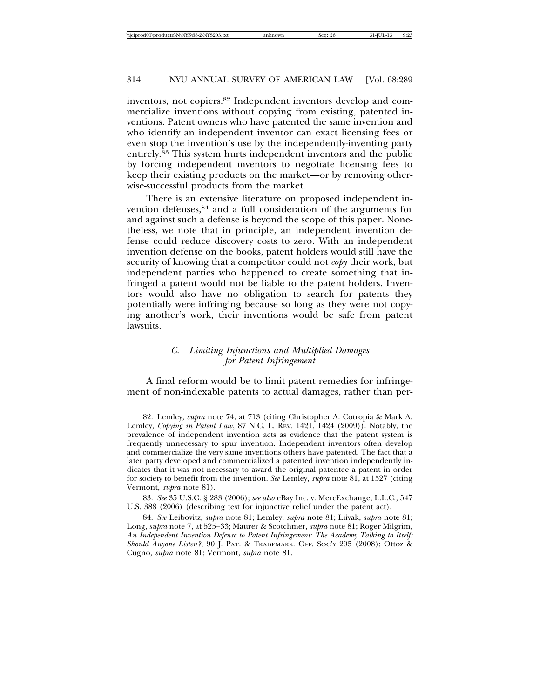inventors, not copiers.82 Independent inventors develop and commercialize inventions without copying from existing, patented inventions. Patent owners who have patented the same invention and who identify an independent inventor can exact licensing fees or even stop the invention's use by the independently-inventing party entirely.83 This system hurts independent inventors and the public by forcing independent inventors to negotiate licensing fees to keep their existing products on the market—or by removing otherwise-successful products from the market.

There is an extensive literature on proposed independent invention defenses,84 and a full consideration of the arguments for and against such a defense is beyond the scope of this paper. Nonetheless, we note that in principle, an independent invention defense could reduce discovery costs to zero. With an independent invention defense on the books, patent holders would still have the security of knowing that a competitor could not *copy* their work, but independent parties who happened to create something that infringed a patent would not be liable to the patent holders. Inventors would also have no obligation to search for patents they potentially were infringing because so long as they were not copying another's work, their inventions would be safe from patent lawsuits.

# *C. Limiting Injunctions and Multiplied Damages for Patent Infringement*

A final reform would be to limit patent remedies for infringement of non-indexable patents to actual damages, rather than per-

83. *See* 35 U.S.C. § 283 (2006); *see also* eBay Inc. v. MercExchange, L.L.C., 547 U.S. 388 (2006) (describing test for injunctive relief under the patent act).

<sup>82.</sup> Lemley, *supra* note 74, at 713 (citing Christopher A. Cotropia & Mark A. Lemley, *Copying in Patent Law*, 87 N.C. L. REV. 1421, 1424 (2009)). Notably, the prevalence of independent invention acts as evidence that the patent system is frequently unnecessary to spur invention. Independent inventors often develop and commercialize the very same inventions others have patented. The fact that a later party developed and commercialized a patented invention independently indicates that it was not necessary to award the original patentee a patent in order for society to benefit from the invention. *See* Lemley, *supra* note 81, at 1527 (citing Vermont, *supra* note 81).

<sup>84.</sup> *See* Leibovitz, *supra* note 81; Lemley, *supra* note 81; Liivak, *supra* note 81; Long, *supra* note 7, at 525–33; Maurer & Scotchmer, *supra* note 81; Roger Milgrim, *An Independent Invention Defense to Patent Infringement: The Academy Talking to Itself: Should Anyone Listen?*, 90 J. PAT. & TRADEMARK. OFF. SOC'Y 295 (2008); Ottoz & Cugno, *supra* note 81; Vermont, *supra* note 81.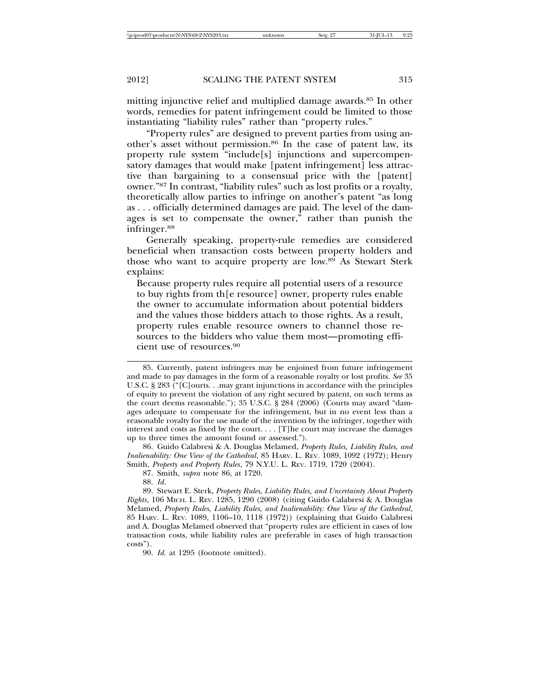mitting injunctive relief and multiplied damage awards.85 In other words, remedies for patent infringement could be limited to those instantiating "liability rules" rather than "property rules."

"Property rules" are designed to prevent parties from using another's asset without permission.86 In the case of patent law, its property rule system "include[s] injunctions and supercompensatory damages that would make [patent infringement] less attractive than bargaining to a consensual price with the [patent] owner."87 In contrast, "liability rules" such as lost profits or a royalty, theoretically allow parties to infringe on another's patent "as long as . . . officially determined damages are paid. The level of the damages is set to compensate the owner," rather than punish the infringer.88

Generally speaking, property-rule remedies are considered beneficial when transaction costs between property holders and those who want to acquire property are low.89 As Stewart Sterk explains:

Because property rules require all potential users of a resource to buy rights from th[e resource] owner, property rules enable the owner to accumulate information about potential bidders and the values those bidders attach to those rights. As a result, property rules enable resource owners to channel those resources to the bidders who value them most—promoting efficient use of resources.90

86. Guido Calabresi & A. Douglas Melamed, *Property Rules, Liability Rules, and Inalienability: One View of the Cathedral*, 85 HARV. L. REV. 1089, 1092 (1972); Henry Smith, *Property and Property Rules*, 79 N.Y.U. L. REV. 1719, 1720 (2004).

87. Smith, *supra* note 86, at 1720.

88. *Id*.

89. Stewart E. Sterk, *Property Rules, Liability Rules, and Uncertainty About Property Rights*, 106 MICH. L. REV. 1285, 1290 (2008) (citing Guido Calabresi & A. Douglas Melamed, *Property Rules, Liability Rules, and Inalienability: One View of the Cathedral*, 85 HARV. L. REV. 1089, 1106–10, 1118 (1972)) (explaining that Guido Calabresi and A. Douglas Melamed observed that "property rules are efficient in cases of low transaction costs, while liability rules are preferable in cases of high transaction costs").

90. *Id.* at 1295 (footnote omitted).

<sup>85.</sup> Currently, patent infringers may be enjoined from future infringement and made to pay damages in the form of a reasonable royalty or lost profits. *See* 35 U.S.C. § 283 ("[C]ourts. . .may grant injunctions in accordance with the principles of equity to prevent the violation of any right secured by patent, on such terms as the court deems reasonable."); 35 U.S.C. § 284 (2006) (Courts may award "damages adequate to compensate for the infringement, but in no event less than a reasonable royalty for the use made of the invention by the infringer, together with interest and costs as fixed by the court.  $\ldots$  [T]he court may increase the damages up to three times the amount found or assessed.").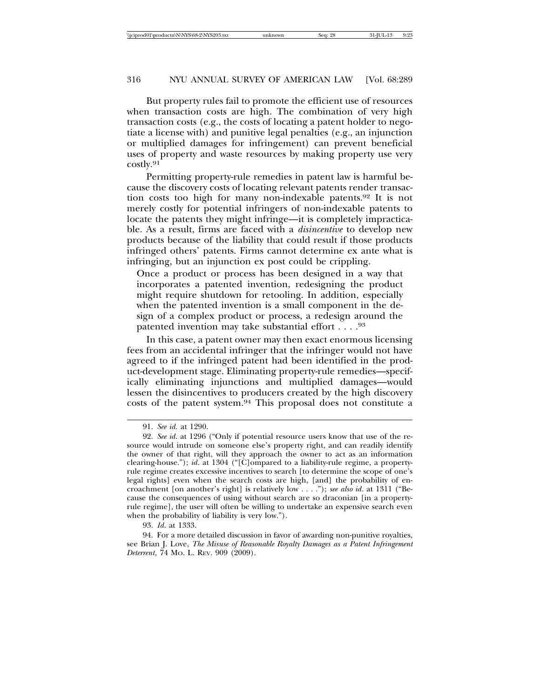But property rules fail to promote the efficient use of resources when transaction costs are high. The combination of very high transaction costs (e.g., the costs of locating a patent holder to negotiate a license with) and punitive legal penalties (e.g., an injunction or multiplied damages for infringement) can prevent beneficial uses of property and waste resources by making property use very costly.91

Permitting property-rule remedies in patent law is harmful because the discovery costs of locating relevant patents render transaction costs too high for many non-indexable patents.92 It is not merely costly for potential infringers of non-indexable patents to locate the patents they might infringe—it is completely impracticable. As a result, firms are faced with a *disincentive* to develop new products because of the liability that could result if those products infringed others' patents. Firms cannot determine ex ante what is infringing, but an injunction ex post could be crippling.

Once a product or process has been designed in a way that incorporates a patented invention, redesigning the product might require shutdown for retooling. In addition, especially when the patented invention is a small component in the design of a complex product or process, a redesign around the patented invention may take substantial effort  $\dots$ .  $^{93}$ 

In this case, a patent owner may then exact enormous licensing fees from an accidental infringer that the infringer would not have agreed to if the infringed patent had been identified in the product-development stage. Eliminating property-rule remedies—specifically eliminating injunctions and multiplied damages—would lessen the disincentives to producers created by the high discovery costs of the patent system.94 This proposal does not constitute a

<sup>91.</sup> *See id.* at 1290.

<sup>92.</sup> *See id*. at 1296 ("Only if potential resource users know that use of the resource would intrude on someone else's property right, and can readily identify the owner of that right, will they approach the owner to act as an information clearing-house."); *id*. at 1304 ("[C]ompared to a liability-rule regime, a propertyrule regime creates excessive incentives to search [to determine the scope of one's legal rights] even when the search costs are high, [and] the probability of encroachment [on another's right] is relatively low . . . ."); *see also id*. at 1311 ("Because the consequences of using without search are so draconian [in a propertyrule regime], the user will often be willing to undertake an expensive search even when the probability of liability is very low.").

<sup>93.</sup> *Id*. at 1333.

<sup>94.</sup> For a more detailed discussion in favor of awarding non-punitive royalties, see Brian J. Love, *The Misuse of Reasonable Royalty Damages as a Patent Infringement Deterrent*, 74 MO. L. REV. 909 (2009).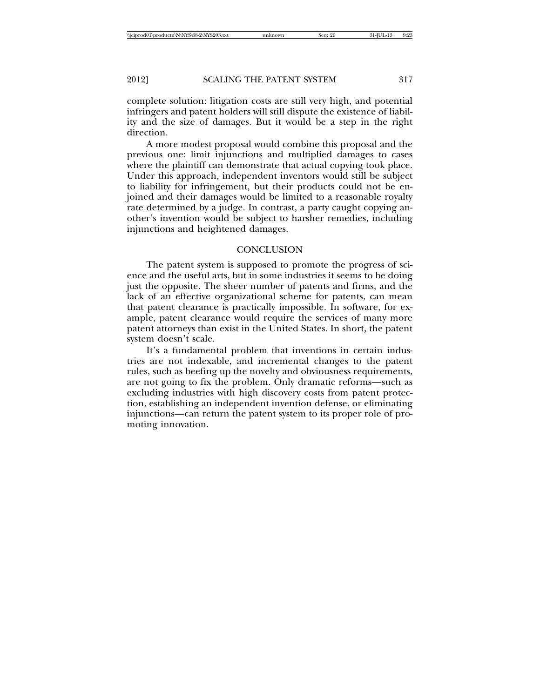complete solution: litigation costs are still very high, and potential infringers and patent holders will still dispute the existence of liability and the size of damages. But it would be a step in the right direction.

A more modest proposal would combine this proposal and the previous one: limit injunctions and multiplied damages to cases where the plaintiff can demonstrate that actual copying took place. Under this approach, independent inventors would still be subject to liability for infringement, but their products could not be enjoined and their damages would be limited to a reasonable royalty rate determined by a judge. In contrast, a party caught copying another's invention would be subject to harsher remedies, including injunctions and heightened damages.

#### **CONCLUSION**

The patent system is supposed to promote the progress of science and the useful arts, but in some industries it seems to be doing just the opposite. The sheer number of patents and firms, and the lack of an effective organizational scheme for patents, can mean that patent clearance is practically impossible. In software, for example, patent clearance would require the services of many more patent attorneys than exist in the United States. In short, the patent system doesn't scale.

It's a fundamental problem that inventions in certain industries are not indexable, and incremental changes to the patent rules, such as beefing up the novelty and obviousness requirements, are not going to fix the problem. Only dramatic reforms—such as excluding industries with high discovery costs from patent protection, establishing an independent invention defense, or eliminating injunctions—can return the patent system to its proper role of promoting innovation.